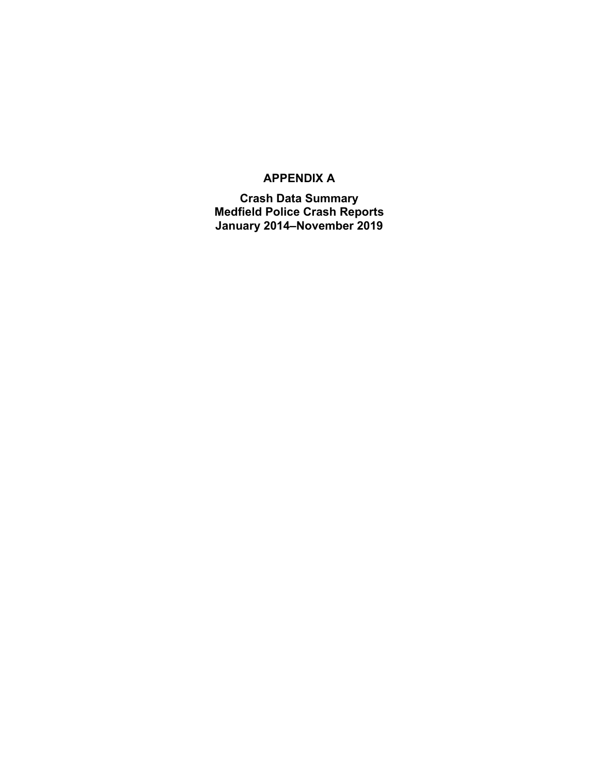### **APPENDIX A**

**Crash Data Summary Medfield Police Crash Reports January 2014–November 2019**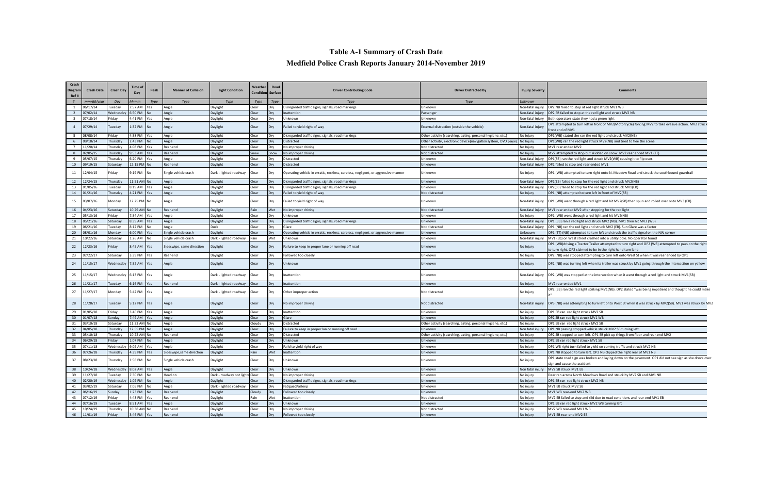## **Table A-1 Summary of Crash Date Medfield Police Crash Reports January 2014-November 2019**

| Crash<br>Diagram<br>Ref# | <b>Crash Date</b> | <b>Crash Day</b> | <b>Time of</b><br>Day | Peak       | <b>Manner of Collision</b> | <b>Light Condition</b>          | Weather<br><b>Condition</b> Surface                           | Road       | <b>Driver Contributing Code</b>                                                   | <b>Driver Distracted By</b>                                     | <b>Injury Severity</b> | Comment:                                                                                                                              |
|--------------------------|-------------------|------------------|-----------------------|------------|----------------------------|---------------------------------|---------------------------------------------------------------|------------|-----------------------------------------------------------------------------------|-----------------------------------------------------------------|------------------------|---------------------------------------------------------------------------------------------------------------------------------------|
| #                        | nm/dd/yei         | Day              | าh:mm                 | Type       | Type                       | Type                            | Type                                                          | Type       | <b>Type</b>                                                                       | Type                                                            | Unknown                |                                                                                                                                       |
|                          | 06/17/14          | uesday           | 7:57 AM               | 'es        | Angle                      | Daylight                        | :lear                                                         | Dry        | Disregarded traffic signs, signals, road markings                                 | Unknown                                                         | Non-fatal injury       | OP2 NB failed to stop at red light struck MV1 WB                                                                                      |
|                          | 7/02/14           | Wednesday        | $5:50$ PM             |            | Angle                      | Daylight                        | Clear                                                         | Dry        | nattention                                                                        | Passenger                                                       | Non-fatal injury       | OP2 EB failed to stop at the red light and struck MV2 NB                                                                              |
| $\overline{\mathbf{3}}$  | 07/18/14          | riday            | 1:41 PM               | Yes        | Angle                      | Daylight                        | Clear                                                         | Dry        | Unknown                                                                           | Unknown                                                         | Non-fatal injun        | Both operators state they had a green light                                                                                           |
| $\overline{4}$           | 07/29/14          | Tuesday          | 1:32 PM               | No         | Angle                      | Daylight                        | Clear                                                         |            | Failed to yield right of way                                                      | External distraction (outside the vehicle)                      | Non-fatal injury       | OP1 attempted to turn left in front of MV2(Motorcycle) forcing MV2 to take evasive action. MV2 struck<br>front end of MV1             |
|                          | 08/08/14          | riday            | 1:38 PM               | 'es        | Angle                      | Daylight                        | Clear                                                         | Drv        | Disregarded traffic signs, signals, road markings                                 | Other activity (searching, eating, personal hygiene, etc.)      | No Injury              | OP1(WB) stated she ran the red light and struck MV2(NB)                                                                               |
|                          | 09/18/14          | Thursday         | 2:43 PM               |            | Angle                      | Daylight                        | Clear                                                         | Dry        | Distracted                                                                        | Other activity, electronic device(navigation system, DVD player | No Injury              | OP1(WB) ran the red light struck MV2(NB) and tried to flee the scene                                                                  |
|                          | 1/20/14           | Thursday         | :08 PM                | Yes        | Rear-end                   | Daylight                        | Clear                                                         | Dry        | No improper driving                                                               | Not distracted                                                  | No Injury              | MV1 rear ended MV2                                                                                                                    |
|                          | 2/05/15           | Thursday         | :53 AM                | es         | Rear-end                   | Daylight                        | snow                                                          | Snow       | No improper driving                                                               | Not distracted                                                  | No Injury              | MV2 attempted to stop but skidded on snow. MV2 rear ended MV1 (TT)                                                                    |
|                          | )5/07/15          | Thursday         | ፡:20 PM               | 'es        | Angle                      | Daylight                        | Clear                                                         | Dry        | Distracted                                                                        | Unknown                                                         | Non-fatal injur        | OP1(SB) ran the red light and struck MV2(WB) causing it to flip over.                                                                 |
| 10                       | 09/19/15          | Saturday         | 12:15 PM              |            | Rear-end                   | Daylight                        | Clear                                                         | Dry        | Distracted                                                                        | Unknown                                                         | Non-fatal injur        | OP2 failed to stop and rear ended MV1                                                                                                 |
| 11                       | 2/04/15           | riday            | ):19 PM               | No         | Single vehicle crash       | Dark - lighted roadway          | Clear                                                         | Dry        | Operating vehicle in erratic, reckless, careless, negligent, or aggressive manner | Unknown                                                         | No Injury              | OP1 (WB) attempted to turn right onto N. Meadow Road and struck the southbound guardrail                                              |
| 12                       | 2/24/15           | Thursday         | 11:51 AM              |            | Angle                      | Daylight                        | Clear                                                         | Dry        | Disregarded traffic signs, signals, road markings                                 | Unknown                                                         | Non-fatal inju         | OP1(EB) failed to stop for the red light and struck MV2(NB)                                                                           |
| 13                       | 1/05/16           | Tuesday          | 3:19 AM               | Yes        | Angle                      | Daylight                        | Clear                                                         | Dry        | Disregarded traffic signs, signals, road markings                                 | Unknown                                                         | Non-fatal injur        | OP2(SB) failed to stop for the red light and struck MV1(EB)                                                                           |
| 14                       | 01/21/16          | Thursday         | :21 PM                | es         | Angle                      | Daylight                        | Clear                                                         | Dry        | Failed to yield right of way                                                      | Not distracted                                                  | No Injury              | OP1 (NB) attempted to turn left in front of MV2(SB)                                                                                   |
| 15                       | )3/07/16          | Vlonday          | 2:25 PM No            |            | Angle                      | Daylight                        | Clear                                                         |            | Failed to yield right of way                                                      | Unknown                                                         | Non-fatal injury       | OP1 (WB) went through a red light and hit MV2(SB) then spun and rolled over onto MV3 (EB)                                             |
| 16                       | 04/23/16          | Saturday         | 10:29 AM              |            | Rear-end                   | Daylight                        | Rain                                                          | Wet        | No improper driving                                                               | Not distracted                                                  | Non-fatal injury       | MV1 rear ended MV2 after stopping for the red light                                                                                   |
| 17                       | 05/13/16          | Friday           | :34 AM                | Yes        | Angle                      | Daylight                        | Clear                                                         | Dry        | Unknown                                                                           | Unknown                                                         | No Injury              | OP1 (WB) went through a red light and hit MV2(NB)                                                                                     |
| 18                       | 5/21/16           | Saturday         | 3:39 AM               | Yes        | Angle                      | Daylight                        | Clear                                                         | Dry        | Disregarded traffic signs, signals, road markings                                 | Unknown                                                         | Non-fatal injur        | OP1 (EB) ran a red light and struck MV2 (NB). MV1 then hit MV3 (WB)                                                                   |
| 19                       | 06/21/16          | Tuesday          | 3:12 PM               |            | Angle                      | Dusk                            | Clear                                                         | Dry        | Glare                                                                             | Not distracted                                                  | Non-fatal injur        | OP1 (NB) ran the red light and struck MV2 (EB). Sun Glare was a factor                                                                |
| 20                       | 8/01/16           | Monday           | :00 PM                | es         | Single vehicle crash       | Daylight                        | Clear                                                         | Dry        | Operating vehicle in erratic, reckless, careless, negligent, or aggressive manner | Unknown                                                         | Unknown                | OP1 (TT) (NB) attempted to turn left and struck the traffic signal on the NW corner                                                   |
| 21                       | 0/22/16           | Saturday         | :26 AM                |            | Single vehicle crash       | Dark - lighted roadway          | lain                                                          | Wet        | Unknowr                                                                           | Unknown                                                         | Non-fatal injur        | MV1 (EB) on West street crashed into a utility pole. No operator found                                                                |
| 22                       | 2/23/16           | riday            | :45 AM                | Yes        | Sideswipe, same direction  | Daylight                        | Clear                                                         |            | Failure to keep in proper lane or running off road                                | Unknown                                                         | No Injury              | OP1 (WB)driving a Tractor Trailer attempted to turn right and OP2 (WB) attempted to pass on the right                                 |
|                          |                   |                  |                       |            |                            |                                 |                                                               |            |                                                                                   |                                                                 |                        | to turn right. OP2 claimed to be in the right hand turn lane                                                                          |
| 23                       | 7/22/17           | Saturday         | 3:39 PM               | Yes        | Rear-end                   | Daylight                        | Clear                                                         | Dry        | Followed too closely                                                              | Unknown                                                         | No Injury              | OP2 (NB) was stopped attempting to turn left onto West St when it was rear ended by OP1                                               |
| 24                       | 1/15/17           | Vednesday        | 7:32 AM               | Yes        | Angle                      | Daylight                        | Clear                                                         | Drv        | Unknown                                                                           | Unknown                                                         | No Injury              | OP2 (NB) was turning left when its trailer was struck by MV1 going through the intersection on yellow                                 |
| 25                       | 1/15/17           | Vednesday        | 6:13 PM               | Yes        | Angle                      | Dark - lighted roadway          | Clear                                                         | Dry        | nattention                                                                        | Unknown                                                         | Non-fatal injury       | OP2 (WB) was stopped at the intersection when it went through a red light and struck MV1(SB)                                          |
| - 26                     | 1/21/17           | Tuesday          | $5:16$ PM             | 'es        | Rear-end                   | Dark - lighted roadway          | Clear                                                         |            | Inattention                                                                       | Unknown                                                         | No Injury              | MV2 rear ended MV1                                                                                                                    |
| 27                       | 1/27/17           | Vlonday          | :42 PM                | Yes        | Angle                      | Dark - lighted roadway          | Clear                                                         |            | Other improper action                                                             | Not distracted                                                  | No Injury              | OP2 (EB) ran the red light striking MV1(NB). OP2 stated "was being impatient and thought he could make                                |
| 28                       | 1/28/17           | Tuesday          | 5:12 PM               | Yes        | Angle                      | Daylight                        | Clear                                                         |            | No improper driving                                                               | Not distracted                                                  | Non-fatal injury       | OP3 (NB) was attempting to turn left onto West St when it was struck by MV2(SB). MV1 was struck by MV2                                |
| 29                       | 1/05/18           | riday            | 3:46 PM               | Yes        | Angle                      | Daylight                        | Clear                                                         | Dry        | Inattention                                                                       | Unknown                                                         | No injury              | OP1 EB ran red light struck MV2 SB                                                                                                    |
| 30                       | 01/07/18          | Sunday           | 7:49 AM               | es         | Angle                      | Daylight                        | Clear                                                         | Dry        | Glare                                                                             | Unknown                                                         | No injury              | OP2 SB ran red light struck MV1 WB                                                                                                    |
| -31                      | 03/10/18          | Saturday         | 11:33 AM              |            | Angle                      | Daylight                        | Cloudy                                                        | Dry        | Distracted                                                                        | Other activity (searching, eating, personal hygiene, etc.)      | No injury              | OP1 EB ran red light struck MV2 SB                                                                                                    |
| 32                       | 04/05/18          | Thursday         | 12:55 PM              |            | Angle                      | Daylight                        | Clear                                                         |            | Failure to keep in proper lan or running off road                                 | Unknown                                                         | Non fatal injur        | OP1 NB passing stopped vehicle struck MV2 SB turning left                                                                             |
| 33                       | )5/10/18          | Thursday         | 0:22 AM               |            | Rear-end                   | Daylight                        | Clear                                                         | Dry        | Distracted                                                                        | Other activity (searching, eating, personal hygiene, etc.)      | No injury              | OP2 SB stopped to turn left. OP1 SB pick up things from floor and rear-end MV2                                                        |
| 34                       | 06/29/18          | riday            | :07 PM                |            | Angle                      | Daylight                        | Clear                                                         | Dry        | Unknown                                                                           | Unknown                                                         | No injury              | OP2 EB ran red light struck MV1 SB                                                                                                    |
| 35                       | 7/11/18           | Wednesda         | 02 AM                 |            | Angle                      | Daylight                        | Clear                                                         | Dry        | Faild to yield right of way                                                       | Unknown                                                         | No injury              | OP1 WB right turn failed to yield on coming traffic and struck MV2 NB                                                                 |
| 36                       | 7/26/18           | hursday          | l:39 PM               |            | Sideswipe, same direction  | Daylight                        | lain                                                          | <b>Net</b> | nattention                                                                        | Unknown                                                         | No injury              | OP1 NB stopped to turn left. OP2 NB clipped the right rear of MV1 NB                                                                  |
| 37                       | 08/23/18          | hursday          | :58 PM                | No         | Single vehicle crash       | Daylight                        | Clear                                                         |            | Jnknown                                                                           | Unknown                                                         | No injury              | OP1 state road sign was broken and laying down on the pavement. OP1 did not see sign as she drove over<br>sign and cause the accident |
| 38                       | 10/24/18          | Wednesday        | 8:02 AM Yes           |            | Angle                      | Daylight                        | Clear                                                         | Dry        | Unknown                                                                           | Unknown                                                         | Non fatal injury       | MV2 SB struck MV1 EB                                                                                                                  |
| 39                       | 11/27/18          | Tuesday          | 7:30 PM               |            | Head on                    | Dark - roadway not lighte Clear |                                                               | Dry        | No improper driving                                                               | Unknown                                                         | No injury              | Dear ran across North Meadows Road and struck by MV2 SB and MV1 NB                                                                    |
| 40                       | 02/20/19          | Wednesday        | 1:02 PM               |            | Angle                      | Daylight                        | Clear                                                         | Dry        | Disregarded traffic signs, signals, road markings                                 | Unknown                                                         | No injury              | OP1 EB ran red light struck MV2 NB                                                                                                    |
| 41                       | 03/02/19          | Saturday         | 7:05 PM               |            | Angle                      | Dark - lighted roadway          | Clear                                                         | Dry        | Fatigued/asleep                                                                   | Unknown                                                         | No injury              | MV1 EB struck MV2 SB                                                                                                                  |
| 42                       | 06/16/19          | Sunday           | 1:23 PM               |            | Rear-end                   | Daylight                        | Cloudy<br>Followed too closely<br>Unknown<br>No injury<br>Dry |            | MV1 WB rear-end MV2 WB                                                            |                                                                 |                        |                                                                                                                                       |
| 43                       | 07/12/19          | Friday           | 4:43 PM               | Yes        | Rear-end                   | Daylight                        | ₹ain<br>Wet<br>No injury<br>Inattention<br>Not distracted     |            | MV2 EB failed to stop and slid due to road conditions and rear-end MV1 EB         |                                                                 |                        |                                                                                                                                       |
| 44                       | 07/16/19          | Tuesday          | 8:51 AM               | Yes        | Angle                      | Daylight                        | Clear                                                         | Dry        | Unknown                                                                           | Unknown                                                         | No injury              | OP1 EB ran red light struck MV2 WB turning left                                                                                       |
| 45                       | 10/24/19          | Thursday         | 10:38 AM              | No         | Rear-end                   | Daylight                        | Clear                                                         | Dry        | No improper driving                                                               | Not distracted                                                  | No injury              | MV2 WB rear-end MV1 WB                                                                                                                |
| 46                       | 11/01/19          | Friday           | 3:46 PM               | <b>Yes</b> | Rear-end                   | Daylight                        | Clear                                                         | Dry        | Followed too closely                                                              | Unknown                                                         | No injury              | MV1 EB rear-end MV2 EB                                                                                                                |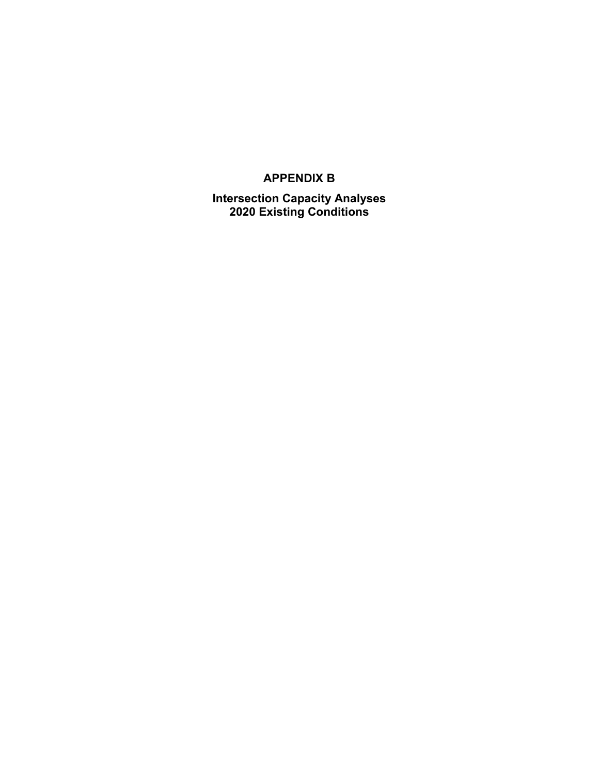### **APPENDIX B**

**Intersection Capacity Analyses 2020 Existing Conditions**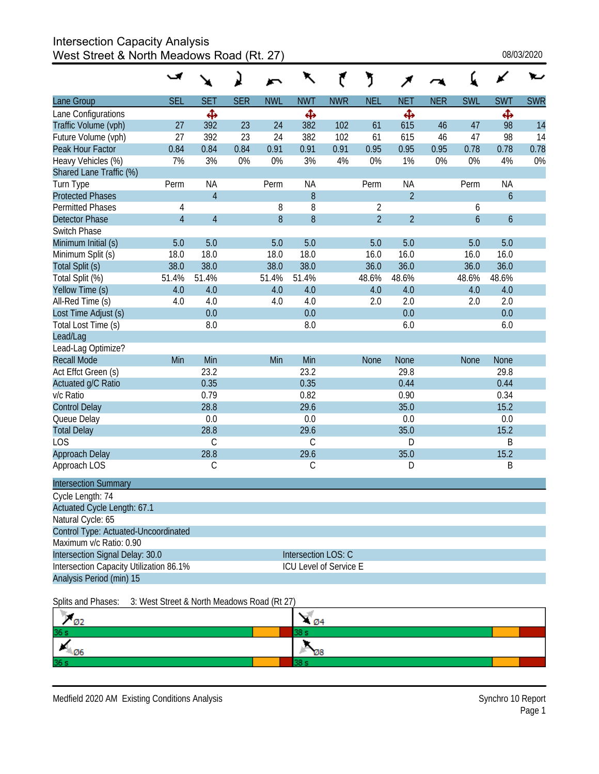# Intersection Capacity Analysis

West Street & North Meadows Road (Rt. 27)  $08/03/2020$ 

|                                         |                |                                             |            |            | $\ddot{\phantom{1}}$   |            | J              |                |            |                |                  |            |
|-----------------------------------------|----------------|---------------------------------------------|------------|------------|------------------------|------------|----------------|----------------|------------|----------------|------------------|------------|
| Lane Group                              | <b>SEL</b>     | <b>SET</b>                                  | <b>SER</b> | <b>NWL</b> | <b>NWT</b>             | <b>NWR</b> | <b>NEL</b>     | <b>NET</b>     | <b>NER</b> | <b>SWL</b>     | <b>SWT</b>       | <b>SWR</b> |
| Lane Configurations                     |                | Ф                                           |            |            | ф                      |            |                | Ф              |            |                | Ф                |            |
| Traffic Volume (vph)                    | 27             | 392                                         | 23         | 24         | 382                    | 102        | 61             | 615            | 46         | 47             | 98               | 14         |
| Future Volume (vph)                     | 27             | 392                                         | 23         | 24         | 382                    | 102        | 61             | 615            | 46         | 47             | 98               | 14         |
| Peak Hour Factor                        | 0.84           | 0.84                                        | 0.84       | 0.91       | 0.91                   | 0.91       | 0.95           | 0.95           | 0.95       | 0.78           | 0.78             | 0.78       |
| Heavy Vehicles (%)                      | 7%             | 3%                                          | 0%         | 0%         | 3%                     | 4%         | 0%             | 1%             | 0%         | 0%             | 4%               | 0%         |
| Shared Lane Traffic (%)                 |                |                                             |            |            |                        |            |                |                |            |                |                  |            |
| Turn Type                               | Perm           | <b>NA</b>                                   |            | Perm       | <b>NA</b>              |            | Perm           | <b>NA</b>      |            | Perm           | <b>NA</b>        |            |
| <b>Protected Phases</b>                 |                | $\overline{4}$                              |            |            | 8                      |            |                | $\overline{2}$ |            |                | $\mathfrak b$    |            |
| <b>Permitted Phases</b>                 | 4              |                                             |            | 8          | 8                      |            | $\overline{2}$ |                |            | 6              |                  |            |
| <b>Detector Phase</b>                   | $\overline{4}$ | $\overline{4}$                              |            | 8          | 8                      |            | $\overline{2}$ | $\overline{2}$ |            | $\overline{6}$ | $\boldsymbol{6}$ |            |
| Switch Phase                            |                |                                             |            |            |                        |            |                |                |            |                |                  |            |
| Minimum Initial (s)                     | 5.0            | 5.0                                         |            | 5.0        | 5.0                    |            | 5.0            | 5.0            |            | 5.0            | 5.0              |            |
| Minimum Split (s)                       | 18.0           | 18.0                                        |            | 18.0       | 18.0                   |            | 16.0           | 16.0           |            | 16.0           | 16.0             |            |
| Total Split (s)                         | 38.0           | 38.0                                        |            | 38.0       | 38.0                   |            | 36.0           | 36.0           |            | 36.0           | 36.0             |            |
| Total Split (%)                         | 51.4%          | 51.4%                                       |            | 51.4%      | 51.4%                  |            | 48.6%          | 48.6%          |            | 48.6%          | 48.6%            |            |
| Yellow Time (s)                         | 4.0            | 4.0                                         |            | 4.0        | 4.0                    |            | 4.0            | 4.0            |            | 4.0            | 4.0              |            |
| All-Red Time (s)                        | 4.0            | 4.0                                         |            | 4.0        | 4.0                    |            | 2.0            | 2.0            |            | 2.0            | 2.0              |            |
| Lost Time Adjust (s)                    |                | 0.0                                         |            |            | 0.0                    |            |                | 0.0            |            |                | 0.0              |            |
| Total Lost Time (s)                     |                | 8.0                                         |            |            | 8.0                    |            |                | 6.0            |            |                | 6.0              |            |
| Lead/Lag                                |                |                                             |            |            |                        |            |                |                |            |                |                  |            |
| Lead-Lag Optimize?                      |                |                                             |            |            |                        |            |                |                |            |                |                  |            |
| <b>Recall Mode</b>                      | Min            | Min                                         |            | Min        | Min                    |            | <b>None</b>    | <b>None</b>    |            | <b>None</b>    | None             |            |
| Act Effct Green (s)                     |                | 23.2                                        |            |            | 23.2                   |            |                | 29.8           |            |                | 29.8             |            |
| Actuated g/C Ratio                      |                | 0.35                                        |            |            | 0.35                   |            |                | 0.44           |            |                | 0.44             |            |
| v/c Ratio                               |                | 0.79                                        |            |            | 0.82                   |            |                | 0.90           |            |                | 0.34             |            |
| <b>Control Delay</b>                    |                | 28.8                                        |            |            | 29.6                   |            |                | 35.0           |            |                | 15.2             |            |
| Queue Delay                             |                | 0.0                                         |            |            | 0.0                    |            |                | 0.0            |            |                | 0.0              |            |
| <b>Total Delay</b>                      |                | 28.8                                        |            |            | 29.6                   |            |                | 35.0           |            |                | 15.2             |            |
| LOS                                     |                | $\mathsf C$                                 |            |            | C                      |            |                | D              |            |                | B                |            |
| Approach Delay                          |                | 28.8                                        |            |            | 29.6                   |            |                | 35.0           |            |                | 15.2             |            |
| Approach LOS                            |                | $\mathsf C$                                 |            |            | C                      |            |                | D              |            |                | B                |            |
| <b>Intersection Summary</b>             |                |                                             |            |            |                        |            |                |                |            |                |                  |            |
| Cycle Length: 74                        |                |                                             |            |            |                        |            |                |                |            |                |                  |            |
| Actuated Cycle Length: 67.1             |                |                                             |            |            |                        |            |                |                |            |                |                  |            |
| Natural Cycle: 65                       |                |                                             |            |            |                        |            |                |                |            |                |                  |            |
| Control Type: Actuated-Uncoordinated    |                |                                             |            |            |                        |            |                |                |            |                |                  |            |
| Maximum v/c Ratio: 0.90                 |                |                                             |            |            |                        |            |                |                |            |                |                  |            |
| Intersection Signal Delay: 30.0         |                |                                             |            |            | Intersection LOS: C    |            |                |                |            |                |                  |            |
| Intersection Capacity Utilization 86.1% |                |                                             |            |            | ICU Level of Service E |            |                |                |            |                |                  |            |
| Analysis Period (min) 15                |                |                                             |            |            |                        |            |                |                |            |                |                  |            |
| Splits and Phases:                      |                | 3: West Street & North Meadows Road (Rt 27) |            |            |                        |            |                |                |            |                |                  |            |
| ØD.                                     |                |                                             |            |            |                        |            |                |                |            |                |                  |            |

| <br>æm<br>øΖ                | - 04 |
|-----------------------------|------|
| 36 s                        |      |
| $\overline{\phantom{0}}$ 06 | Ø8   |
| 36 <sub>s</sub>             |      |
|                             |      |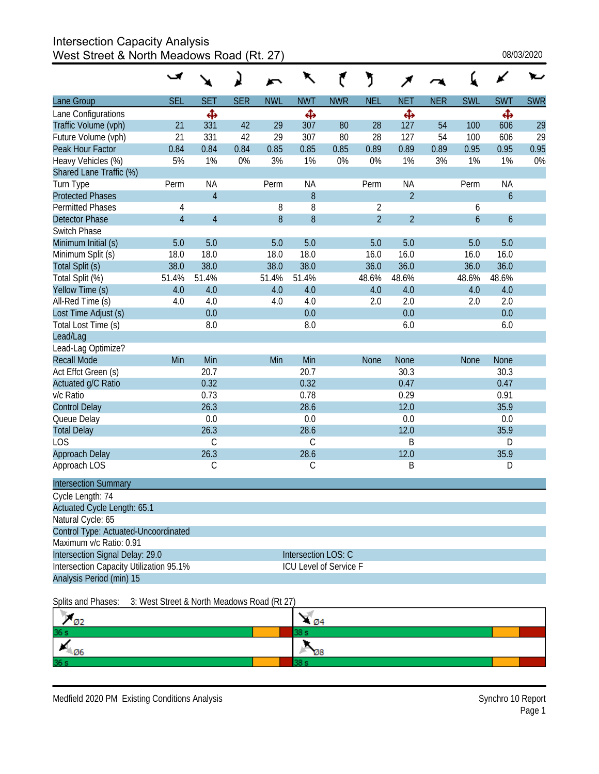# Intersection Capacity Analysis

West Street & North Meadows Road (Rt. 27) 08/03/2020

|                                         |                |                                             | ג          |            | $\mathbf{K}$           |            | ን              |                |            |             |                  |            |
|-----------------------------------------|----------------|---------------------------------------------|------------|------------|------------------------|------------|----------------|----------------|------------|-------------|------------------|------------|
| Lane Group                              | <b>SEL</b>     | <b>SET</b>                                  | <b>SER</b> | <b>NWL</b> | <b>NWT</b>             | <b>NWR</b> | <b>NEL</b>     | <b>NET</b>     | <b>NER</b> | <b>SWL</b>  | <b>SWT</b>       | <b>SWR</b> |
| Lane Configurations                     |                | Ф                                           |            |            | Ф                      |            |                | Ф              |            |             | Ф                |            |
| Traffic Volume (vph)                    | 21             | 331                                         | 42         | 29         | 307                    | 80         | 28             | 127            | 54         | 100         | 606              | 29         |
| Future Volume (vph)                     | 21             | 331                                         | 42         | 29         | 307                    | 80         | 28             | 127            | 54         | 100         | 606              | 29         |
| Peak Hour Factor                        | 0.84           | 0.84                                        | 0.84       | 0.85       | 0.85                   | 0.85       | 0.89           | 0.89           | 0.89       | 0.95        | 0.95             | 0.95       |
| Heavy Vehicles (%)                      | 5%             | 1%                                          | 0%         | 3%         | 1%                     | 0%         | 0%             | 1%             | 3%         | 1%          | 1%               | 0%         |
| Shared Lane Traffic (%)                 |                |                                             |            |            |                        |            |                |                |            |             |                  |            |
| Turn Type                               | Perm           | <b>NA</b>                                   |            | Perm       | <b>NA</b>              |            | Perm           | NA             |            | Perm        | <b>NA</b>        |            |
| <b>Protected Phases</b>                 |                | $\overline{4}$                              |            |            | 8                      |            |                | $\overline{2}$ |            |             | 6                |            |
| <b>Permitted Phases</b>                 | 4              |                                             |            | 8          | 8                      |            | $\overline{2}$ |                |            | 6           |                  |            |
| <b>Detector Phase</b>                   | $\overline{4}$ | $\overline{4}$                              |            | 8          | $\boldsymbol{8}$       |            | $\overline{2}$ | $\overline{2}$ |            | 6           | $\boldsymbol{6}$ |            |
| Switch Phase                            |                |                                             |            |            |                        |            |                |                |            |             |                  |            |
| Minimum Initial (s)                     | 5.0            | 5.0                                         |            | 5.0        | 5.0                    |            | 5.0            | 5.0            |            | 5.0         | 5.0              |            |
| Minimum Split (s)                       | 18.0           | 18.0                                        |            | 18.0       | 18.0                   |            | 16.0           | 16.0           |            | 16.0        | 16.0             |            |
| Total Split (s)                         | 38.0           | 38.0                                        |            | 38.0       | 38.0                   |            | 36.0           | 36.0           |            | 36.0        | 36.0             |            |
| Total Split (%)                         | 51.4%          | 51.4%                                       |            | 51.4%      | 51.4%                  |            | 48.6%          | 48.6%          |            | 48.6%       | 48.6%            |            |
| Yellow Time (s)                         | 4.0            | 4.0                                         |            | 4.0        | 4.0                    |            | 4.0            | 4.0            |            | 4.0         | 4.0              |            |
| All-Red Time (s)                        | 4.0            | 4.0                                         |            | 4.0        | 4.0                    |            | 2.0            | 2.0            |            | 2.0         | 2.0              |            |
| Lost Time Adjust (s)                    |                | 0.0                                         |            |            | 0.0                    |            |                | 0.0            |            |             | 0.0              |            |
| Total Lost Time (s)                     |                | 8.0                                         |            |            | 8.0                    |            |                | 6.0            |            |             | 6.0              |            |
| Lead/Lag                                |                |                                             |            |            |                        |            |                |                |            |             |                  |            |
| Lead-Lag Optimize?                      |                |                                             |            |            |                        |            |                |                |            |             |                  |            |
| <b>Recall Mode</b>                      | Min            | Min                                         |            | Min        | Min                    |            | <b>None</b>    | <b>None</b>    |            | <b>None</b> | <b>None</b>      |            |
| Act Effct Green (s)                     |                | 20.7                                        |            |            | 20.7                   |            |                | 30.3           |            |             | 30.3             |            |
| Actuated g/C Ratio                      |                | 0.32                                        |            |            | 0.32                   |            |                | 0.47           |            |             | 0.47             |            |
| v/c Ratio                               |                | 0.73                                        |            |            | 0.78                   |            |                | 0.29           |            |             | 0.91             |            |
| <b>Control Delay</b>                    |                | 26.3                                        |            |            | 28.6                   |            |                | 12.0           |            |             | 35.9             |            |
| Queue Delay                             |                | 0.0                                         |            |            | 0.0                    |            |                | 0.0            |            |             | 0.0              |            |
| <b>Total Delay</b>                      |                | 26.3                                        |            |            | 28.6                   |            |                | 12.0           |            |             | 35.9             |            |
| LOS                                     |                | $\mathsf C$                                 |            |            | $\mathcal{C}$          |            |                | B              |            |             | D                |            |
| Approach Delay                          |                | 26.3                                        |            |            | 28.6                   |            |                | 12.0           |            |             | 35.9             |            |
| Approach LOS                            |                | $\mathsf C$                                 |            |            | C                      |            |                | B              |            |             | D                |            |
| <b>Intersection Summary</b>             |                |                                             |            |            |                        |            |                |                |            |             |                  |            |
| Cycle Length: 74                        |                |                                             |            |            |                        |            |                |                |            |             |                  |            |
| Actuated Cycle Length: 65.1             |                |                                             |            |            |                        |            |                |                |            |             |                  |            |
| Natural Cycle: 65                       |                |                                             |            |            |                        |            |                |                |            |             |                  |            |
| Control Type: Actuated-Uncoordinated    |                |                                             |            |            |                        |            |                |                |            |             |                  |            |
| Maximum v/c Ratio: 0.91                 |                |                                             |            |            |                        |            |                |                |            |             |                  |            |
| Intersection Signal Delay: 29.0         |                |                                             |            |            | Intersection LOS: C    |            |                |                |            |             |                  |            |
| Intersection Capacity Utilization 95.1% |                |                                             |            |            | ICU Level of Service F |            |                |                |            |             |                  |            |
| Analysis Period (min) 15                |                |                                             |            |            |                        |            |                |                |            |             |                  |            |
| Splits and Phases:                      |                | 3: West Street & North Meadows Road (Rt 27) |            |            |                        |            |                |                |            |             |                  |            |
| $\mathcal{Q}_2$                         |                |                                             |            |            | $\mathbb{Z}_{94}$      |            |                |                |            |             |                  |            |

| $\cdots$<br>øΖ  | - 04 |  |  |  |  |  |
|-----------------|------|--|--|--|--|--|
| 36 <sub>s</sub> |      |  |  |  |  |  |
| -06             | Ø8   |  |  |  |  |  |
| 36 <sub>s</sub> |      |  |  |  |  |  |
|                 |      |  |  |  |  |  |

Medfield 2020 PM Existing Conditions Analysis Synchro 10 Report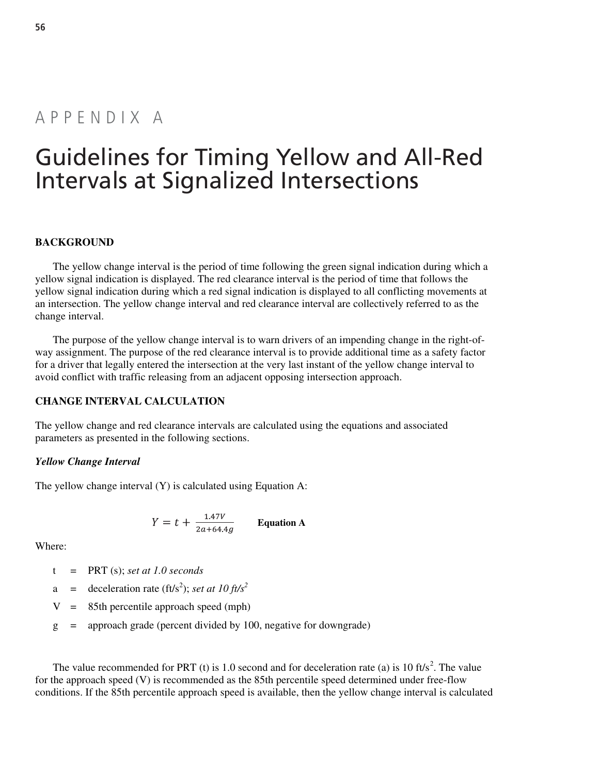# Appendix A

# Guidelines for Timing Yellow and All-Red Intervals at Signalized Intersections

#### **BACKGROUND**

The yellow change interval is the period of time following the green signal indication during which a yellow signal indication is displayed. The red clearance interval is the period of time that follows the yellow signal indication during which a red signal indication is displayed to all conflicting movements at an intersection. The yellow change interval and red clearance interval are collectively referred to as the change interval.

The purpose of the yellow change interval is to warn drivers of an impending change in the right-ofway assignment. The purpose of the red clearance interval is to provide additional time as a safety factor for a driver that legally entered the intersection at the very last instant of the yellow change interval to avoid conflict with traffic releasing from an adjacent opposing intersection approach.

#### **CHANGE INTERVAL CALCULATION**

The yellow change and red clearance intervals are calculated using the equations and associated parameters as presented in the following sections.

#### *Yellow Change Interval*

The yellow change interval (Y) is calculated using Equation A:

$$
Y = t + \frac{1.47V}{2a + 64.4g}
$$
 Equation A

Where:

- t = PRT (s); *set at 1.0 seconds*
- a = deceleration rate (ft/s<sup>2</sup>); *set at 10 ft/s*<sup>2</sup>
	- $V = 85$ th percentile approach speed (mph)
	- g = approach grade (percent divided by 100, negative for downgrade)

The value recommended for PRT (t) is 1.0 second and for deceleration rate (a) is 10 ft/s<sup>2</sup>. The value for the approach speed (V) is recommended as the 85th percentile speed determined under free-flow conditions. If the 85th percentile approach speed is available, then the yellow change interval is calculated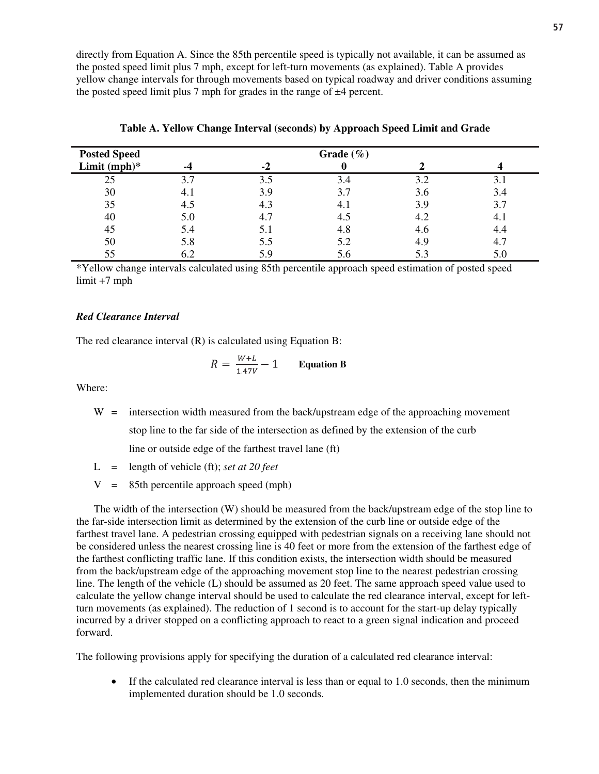directly from Equation A. Since the 85th percentile speed is typically not available, it can be assumed as the posted speed limit plus 7 mph, except for left-turn movements (as explained). Table A provides yellow change intervals for through movements based on typical roadway and driver conditions assuming the posted speed limit plus 7 mph for grades in the range of  $\pm 4$  percent.

| <b>Posted Speed</b> |     | Grade $(\% )$ |     |     |     |  |  |  |  |  |  |  |
|---------------------|-----|---------------|-----|-----|-----|--|--|--|--|--|--|--|
| Limit $(mph)*$      | -4  | -2            |     |     |     |  |  |  |  |  |  |  |
| 25                  | 3.7 | 3.5           | 3.4 | 3.2 | 3.1 |  |  |  |  |  |  |  |
| 30                  | 4.1 | 3.9           | 3.7 | 3.6 | 3.4 |  |  |  |  |  |  |  |
| 35                  | 4.5 | 4.3           | 4.1 | 3.9 | 3.7 |  |  |  |  |  |  |  |
| 40                  | 5.0 | 4.7           | 4.5 | 4.2 | 4.1 |  |  |  |  |  |  |  |
| 45                  | 5.4 | 5.1           | 4.8 | 4.6 | 4.4 |  |  |  |  |  |  |  |
| 50                  | 5.8 | 5.5           | 5.2 | 4.9 | 4.1 |  |  |  |  |  |  |  |
| 55                  | 6.2 | 5.9           | 5.6 | 5.3 | 5.0 |  |  |  |  |  |  |  |

**Table A. Yellow Change Interval (seconds) by Approach Speed Limit and Grade** 

\*Yellow change intervals calculated using 85th percentile approach speed estimation of posted speed limit +7 mph

#### *Red Clearance Interval*

The red clearance interval (R) is calculated using Equation B:

$$
R = \frac{W + L}{1.47V} - 1
$$
 Equation B

Where:

 $W =$  intersection width measured from the back/upstream edge of the approaching movement stop line to the far side of the intersection as defined by the extension of the curb

line or outside edge of the farthest travel lane (ft)

- L = length of vehicle (ft); *set at 20 feet*
- $V = 85$ th percentile approach speed (mph)

The width of the intersection (W) should be measured from the back/upstream edge of the stop line to the far-side intersection limit as determined by the extension of the curb line or outside edge of the farthest travel lane. A pedestrian crossing equipped with pedestrian signals on a receiving lane should not be considered unless the nearest crossing line is 40 feet or more from the extension of the farthest edge of the farthest conflicting traffic lane. If this condition exists, the intersection width should be measured from the back/upstream edge of the approaching movement stop line to the nearest pedestrian crossing line. The length of the vehicle (L) should be assumed as 20 feet. The same approach speed value used to calculate the yellow change interval should be used to calculate the red clearance interval, except for leftturn movements (as explained). The reduction of 1 second is to account for the start-up delay typically incurred by a driver stopped on a conflicting approach to react to a green signal indication and proceed forward.

The following provisions apply for specifying the duration of a calculated red clearance interval:

• If the calculated red clearance interval is less than or equal to 1.0 seconds, then the minimum implemented duration should be 1.0 seconds.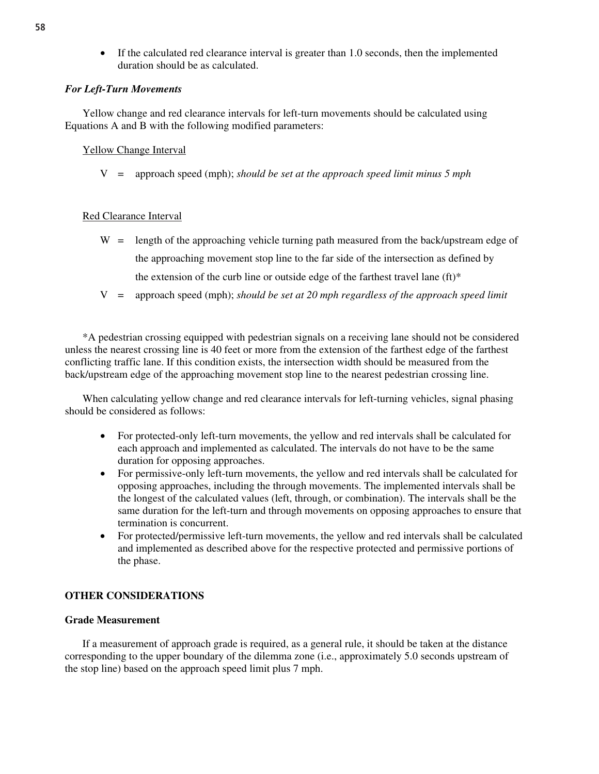• If the calculated red clearance interval is greater than 1.0 seconds, then the implemented duration should be as calculated.

#### *For Left-Turn Movements*

Yellow change and red clearance intervals for left-turn movements should be calculated using Equations A and B with the following modified parameters:

#### Yellow Change Interval

V = approach speed (mph); *should be set at the approach speed limit minus 5 mph*

#### Red Clearance Interval

- W = length of the approaching vehicle turning path measured from the back/upstream edge of the approaching movement stop line to the far side of the intersection as defined by the extension of the curb line or outside edge of the farthest travel lane  $(ft)^*$
- V = approach speed (mph); *should be set at 20 mph regardless of the approach speed limit*

\*A pedestrian crossing equipped with pedestrian signals on a receiving lane should not be considered unless the nearest crossing line is 40 feet or more from the extension of the farthest edge of the farthest conflicting traffic lane. If this condition exists, the intersection width should be measured from the back/upstream edge of the approaching movement stop line to the nearest pedestrian crossing line.

When calculating yellow change and red clearance intervals for left-turning vehicles, signal phasing should be considered as follows:

- For protected-only left-turn movements, the yellow and red intervals shall be calculated for each approach and implemented as calculated. The intervals do not have to be the same duration for opposing approaches.
- For permissive-only left-turn movements, the yellow and red intervals shall be calculated for opposing approaches, including the through movements. The implemented intervals shall be the longest of the calculated values (left, through, or combination). The intervals shall be the same duration for the left-turn and through movements on opposing approaches to ensure that termination is concurrent.
- For protected/permissive left-turn movements, the yellow and red intervals shall be calculated and implemented as described above for the respective protected and permissive portions of the phase.

### **OTHER CONSIDERATIONS**

#### **Grade Measurement**

If a measurement of approach grade is required, as a general rule, it should be taken at the distance corresponding to the upper boundary of the dilemma zone (i.e., approximately 5.0 seconds upstream of the stop line) based on the approach speed limit plus 7 mph.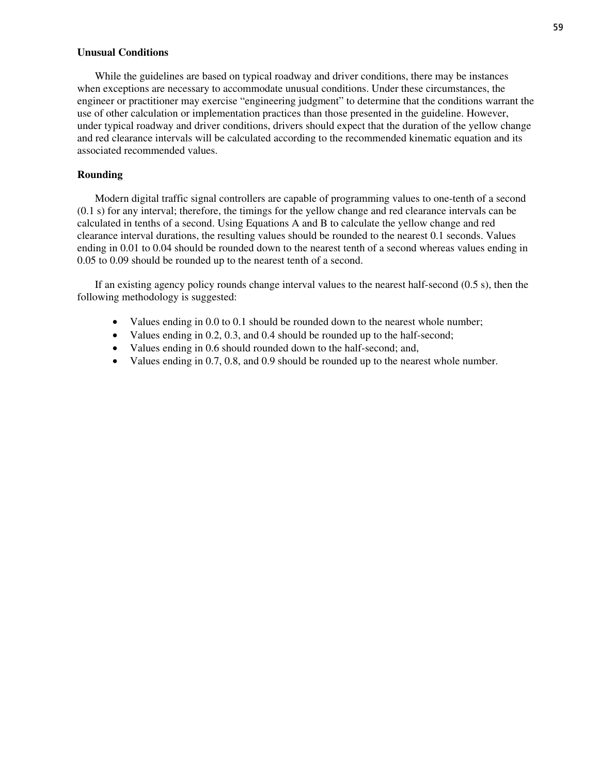#### **Unusual Conditions**

While the guidelines are based on typical roadway and driver conditions, there may be instances when exceptions are necessary to accommodate unusual conditions. Under these circumstances, the engineer or practitioner may exercise "engineering judgment" to determine that the conditions warrant the use of other calculation or implementation practices than those presented in the guideline. However, under typical roadway and driver conditions, drivers should expect that the duration of the yellow change and red clearance intervals will be calculated according to the recommended kinematic equation and its associated recommended values.

#### **Rounding**

Modern digital traffic signal controllers are capable of programming values to one-tenth of a second (0.1 s) for any interval; therefore, the timings for the yellow change and red clearance intervals can be calculated in tenths of a second. Using Equations A and B to calculate the yellow change and red clearance interval durations, the resulting values should be rounded to the nearest 0.1 seconds. Values ending in 0.01 to 0.04 should be rounded down to the nearest tenth of a second whereas values ending in 0.05 to 0.09 should be rounded up to the nearest tenth of a second.

If an existing agency policy rounds change interval values to the nearest half-second (0.5 s), then the following methodology is suggested:

- Values ending in 0.0 to 0.1 should be rounded down to the nearest whole number;
- Values ending in 0.2, 0.3, and 0.4 should be rounded up to the half-second;
- Values ending in 0.6 should rounded down to the half-second; and,
- Values ending in 0.7, 0.8, and 0.9 should be rounded up to the nearest whole number.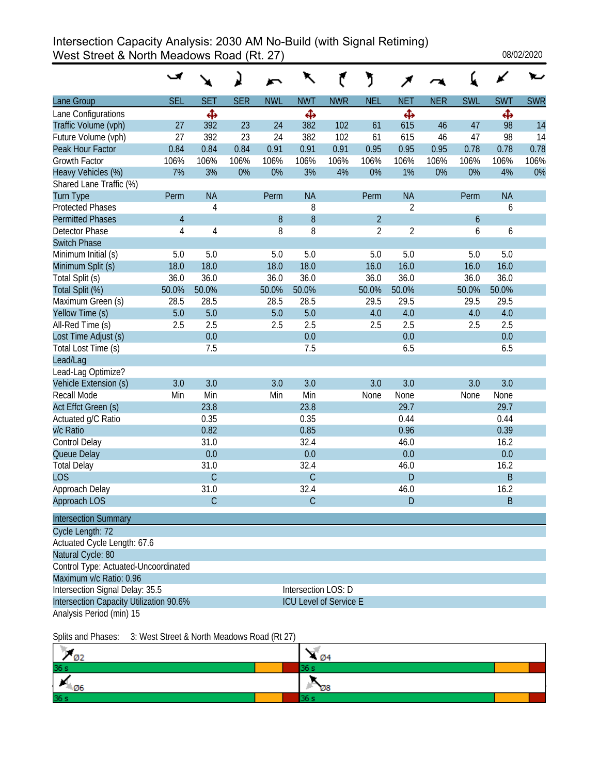### Intersection Capacity Analysis: 2030 AM No-Build (with Signal Retiming) West Street & North Meadows Road (Rt. 27) 3 08/02/2020

|                                         |            |                |            |            | ↖                             |            | ን              |                |            |                  |            |            |
|-----------------------------------------|------------|----------------|------------|------------|-------------------------------|------------|----------------|----------------|------------|------------------|------------|------------|
| Lane Group                              | <b>SEL</b> | <b>SET</b>     | <b>SER</b> | <b>NWL</b> | <b>NWT</b>                    | <b>NWR</b> | <b>NEL</b>     | <b>NET</b>     | <b>NER</b> | <b>SWL</b>       | <b>SWT</b> | <b>SWR</b> |
| Lane Configurations                     |            | Ф              |            |            | Ф                             |            |                | Ф              |            |                  | Ф          |            |
| Traffic Volume (vph)                    | 27         | 392            | 23         | 24         | 382                           | 102        | 61             | 615            | 46         | 47               | 98         | 14         |
| Future Volume (vph)                     | 27         | 392            | 23         | 24         | 382                           | 102        | 61             | 615            | 46         | 47               | 98         | 14         |
| Peak Hour Factor                        | 0.84       | 0.84           | 0.84       | 0.91       | 0.91                          | 0.91       | 0.95           | 0.95           | 0.95       | 0.78             | 0.78       | 0.78       |
| Growth Factor                           | 106%       | 106%           | 106%       | 106%       | 106%                          | 106%       | 106%           | 106%           | 106%       | 106%             | 106%       | 106%       |
| Heavy Vehicles (%)                      | 7%         | 3%             | 0%         | 0%         | 3%                            | 4%         | 0%             | 1%             | 0%         | 0%               | 4%         | 0%         |
| Shared Lane Traffic (%)                 |            |                |            |            |                               |            |                |                |            |                  |            |            |
| <b>Turn Type</b>                        | Perm       | <b>NA</b>      |            | Perm       | <b>NA</b>                     |            | Perm           | <b>NA</b>      |            | Perm             | <b>NA</b>  |            |
| <b>Protected Phases</b>                 |            | 4              |            |            | 8                             |            |                | $\overline{2}$ |            |                  | 6          |            |
| <b>Permitted Phases</b>                 | 4          |                |            | 8          | 8                             |            | $\overline{2}$ |                |            | $\boldsymbol{6}$ |            |            |
| Detector Phase                          | 4          | 4              |            | 8          | 8                             |            | $\overline{2}$ | $\overline{2}$ |            | 6                | 6          |            |
| <b>Switch Phase</b>                     |            |                |            |            |                               |            |                |                |            |                  |            |            |
| Minimum Initial (s)                     | 5.0        | 5.0            |            | 5.0        | 5.0                           |            | 5.0            | 5.0            |            | 5.0              | 5.0        |            |
| Minimum Split (s)                       | 18.0       | 18.0           |            | 18.0       | 18.0                          |            | 16.0           | 16.0           |            | 16.0             | 16.0       |            |
| Total Split (s)                         | 36.0       | 36.0           |            | 36.0       | 36.0                          |            | 36.0           | 36.0           |            | 36.0             | 36.0       |            |
| Total Split (%)                         | 50.0%      | 50.0%          |            | 50.0%      | 50.0%                         |            | 50.0%          | 50.0%          |            | 50.0%            | 50.0%      |            |
| Maximum Green (s)                       | 28.5       | 28.5           |            | 28.5       | 28.5                          |            | 29.5           | 29.5           |            | 29.5             | 29.5       |            |
| Yellow Time (s)                         | 5.0        | 5.0            |            | 5.0        | 5.0                           |            | 4.0            | 4.0            |            | 4.0              | 4.0        |            |
| All-Red Time (s)                        | 2.5        | 2.5            |            | 2.5        | 2.5                           |            | 2.5            | 2.5            |            | 2.5              | 2.5        |            |
| Lost Time Adjust (s)                    |            | 0.0            |            |            | 0.0                           |            |                | 0.0            |            |                  | 0.0        |            |
| Total Lost Time (s)                     |            | 7.5            |            |            | 7.5                           |            |                | 6.5            |            |                  | 6.5        |            |
| Lead/Lag                                |            |                |            |            |                               |            |                |                |            |                  |            |            |
| Lead-Lag Optimize?                      |            |                |            |            |                               |            |                |                |            |                  |            |            |
| Vehicle Extension (s)                   | 3.0        | 3.0            |            | 3.0        | 3.0                           |            | 3.0            | 3.0            |            | 3.0              | 3.0        |            |
| Recall Mode                             | Min        | Min            |            | Min        | Min                           |            | None           | None           |            | None             | None       |            |
| Act Effct Green (s)                     |            | 23.8           |            |            | 23.8                          |            |                | 29.7           |            |                  | 29.7       |            |
| Actuated g/C Ratio                      |            | 0.35           |            |            | 0.35                          |            |                | 0.44           |            |                  | 0.44       |            |
| v/c Ratio                               |            | 0.82           |            |            | 0.85                          |            |                | 0.96           |            |                  | 0.39       |            |
| Control Delay                           |            | 31.0           |            |            | 32.4                          |            |                | 46.0           |            |                  | 16.2       |            |
| Queue Delay                             |            | 0.0            |            |            | 0.0                           |            |                | 0.0            |            |                  | $0.0\,$    |            |
| <b>Total Delay</b>                      |            | 31.0           |            |            | 32.4                          |            |                | 46.0           |            |                  | 16.2       |            |
| <b>LOS</b>                              |            | $\overline{C}$ |            |            | $\overline{C}$                |            |                | D              |            |                  | $\sf B$    |            |
| Approach Delay                          |            | 31.0           |            |            | 32.4                          |            |                | 46.0           |            |                  | 16.2       |            |
| <b>Approach LOS</b>                     |            | $\mathcal{C}$  |            |            | $\mathsf C$                   |            |                | D              |            |                  | $\sf B$    |            |
| <b>Intersection Summary</b>             |            |                |            |            |                               |            |                |                |            |                  |            |            |
| Cycle Length: 72                        |            |                |            |            |                               |            |                |                |            |                  |            |            |
| Actuated Cycle Length: 67.6             |            |                |            |            |                               |            |                |                |            |                  |            |            |
| Natural Cycle: 80                       |            |                |            |            |                               |            |                |                |            |                  |            |            |
| Control Type: Actuated-Uncoordinated    |            |                |            |            |                               |            |                |                |            |                  |            |            |
| Maximum v/c Ratio: 0.96                 |            |                |            |            |                               |            |                |                |            |                  |            |            |
| Intersection Signal Delay: 35.5         |            |                |            |            | Intersection LOS: D           |            |                |                |            |                  |            |            |
| Intersection Capacity Utilization 90.6% |            |                |            |            | <b>ICU Level of Service E</b> |            |                |                |            |                  |            |            |
| Analysis Period (min) 15                |            |                |            |            |                               |            |                |                |            |                  |            |            |

| <b>ARM</b><br>øΖ            | - Ø4 |  |
|-----------------------------|------|--|
| 36 <sub>s</sub>             | - -  |  |
| $\overline{\phantom{a}}$ 06 | Øε   |  |
| 36 <sub>s</sub>             |      |  |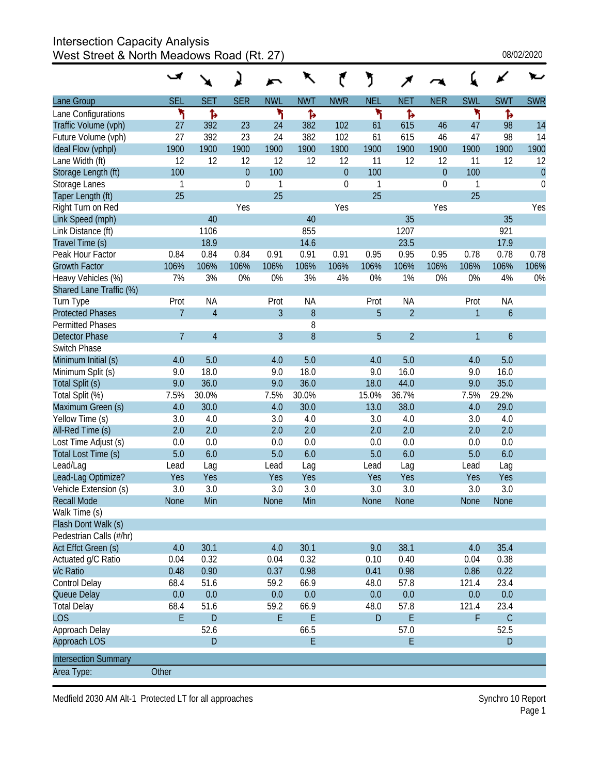# Intersection Capacity Analysis

West Street & North Meadows Road (Rt. 27)  $08/02/2020$ 

|                             |                |                |            |              |            |                  | J           |                |                |              |               |             |
|-----------------------------|----------------|----------------|------------|--------------|------------|------------------|-------------|----------------|----------------|--------------|---------------|-------------|
| Lane Group                  | <b>SEL</b>     | <b>SET</b>     | <b>SER</b> | <b>NWL</b>   | <b>NWT</b> | <b>NWR</b>       | <b>NEL</b>  | <b>NET</b>     | <b>NER</b>     | <b>SWL</b>   | <b>SWT</b>    | <b>SWR</b>  |
| Lane Configurations         | ۳              | Ъ              |            | ۲            | Ъ          |                  | ۲           | ħ              |                | ۲            | Ъ             |             |
| Traffic Volume (vph)        | 27             | 392            | 23         | 24           | 382        | 102              | 61          | 615            | 46             | 47           | 98            | 14          |
| Future Volume (vph)         | 27             | 392            | 23         | 24           | 382        | 102              | 61          | 615            | 46             | 47           | 98            | 14          |
| Ideal Flow (vphpl)          | 1900           | 1900           | 1900       | 1900         | 1900       | 1900             | 1900        | 1900           | 1900           | 1900         | 1900          | 1900        |
| Lane Width (ft)             | 12             | 12             | 12         | 12           | 12         | 12               | 11          | 12             | 12             | 11           | 12            | 12          |
| Storage Length (ft)         | 100            |                | $\theta$   | 100          |            | $\theta$         | 100         |                | $\overline{0}$ | 100          |               | $\theta$    |
| Storage Lanes               | 1              |                | 0          | $\mathbf{1}$ |            | $\boldsymbol{0}$ | 1           |                | $\mathbf 0$    | 1            |               | $\mathbf 0$ |
| Taper Length (ft)           | 25             |                |            | 25           |            |                  | 25          |                |                | 25           |               |             |
| Right Turn on Red           |                |                | Yes        |              |            | Yes              |             |                | Yes            |              |               | Yes         |
| Link Speed (mph)            |                | 40             |            |              | 40         |                  |             | 35             |                |              | 35            |             |
| Link Distance (ft)          |                | 1106           |            |              | 855        |                  |             | 1207           |                |              | 921           |             |
| Travel Time (s)             |                | 18.9           |            |              | 14.6       |                  |             | 23.5           |                |              | 17.9          |             |
| Peak Hour Factor            | 0.84           | 0.84           | 0.84       | 0.91         | 0.91       | 0.91             | 0.95        | 0.95           | 0.95           | 0.78         | 0.78          | 0.78        |
| <b>Growth Factor</b>        | 106%           | 106%           | 106%       | 106%         | 106%       | 106%             | 106%        | 106%           | 106%           | 106%         | 106%          | 106%        |
| Heavy Vehicles (%)          | 7%             | 3%             | 0%         | 0%           | 3%         | 4%               | 0%          | 1%             | 0%             | 0%           | 4%            | 0%          |
| Shared Lane Traffic (%)     |                |                |            |              |            |                  |             |                |                |              |               |             |
| Turn Type                   | Prot           | <b>NA</b>      |            | Prot         | <b>NA</b>  |                  | Prot        | <b>NA</b>      |                | Prot         | <b>NA</b>     |             |
| <b>Protected Phases</b>     | $\overline{7}$ | $\overline{4}$ |            | 3            | 8          |                  | 5           | $\overline{2}$ |                | $\mathbf{1}$ | $\mathfrak b$ |             |
| <b>Permitted Phases</b>     |                |                |            |              | 8          |                  |             |                |                |              |               |             |
| <b>Detector Phase</b>       | $\overline{7}$ | $\overline{4}$ |            | 3            | 8          |                  | 5           | $\overline{2}$ |                | 1            | 6             |             |
| Switch Phase                |                |                |            |              |            |                  |             |                |                |              |               |             |
| Minimum Initial (s)         | 4.0            | 5.0            |            | 4.0          | 5.0        |                  | 4.0         | 5.0            |                | 4.0          | 5.0           |             |
| Minimum Split (s)           | 9.0            | 18.0           |            | 9.0          | 18.0       |                  | 9.0         | 16.0           |                | 9.0          | 16.0          |             |
| Total Split (s)             | 9.0            | 36.0           |            | 9.0          | 36.0       |                  | 18.0        | 44.0           |                | 9.0          | 35.0          |             |
| Total Split (%)             | 7.5%           | 30.0%          |            | 7.5%         | 30.0%      |                  | 15.0%       | 36.7%          |                | 7.5%         | 29.2%         |             |
| Maximum Green (s)           | 4.0            | 30.0           |            | 4.0          | 30.0       |                  | 13.0        | 38.0           |                | 4.0          | 29.0          |             |
| Yellow Time (s)             | 3.0            | 4.0            |            | 3.0          | 4.0        |                  | 3.0         | 4.0            |                | 3.0          | 4.0           |             |
| All-Red Time (s)            | 2.0            | 2.0            |            | 2.0          | 2.0        |                  | 2.0         | 2.0            |                | 2.0          | 2.0           |             |
| Lost Time Adjust (s)        | 0.0            | 0.0            |            | 0.0          | 0.0        |                  | 0.0         | 0.0            |                | 0.0          | 0.0           |             |
| Total Lost Time (s)         | 5.0            | 6.0            |            | 5.0          | 6.0        |                  | 5.0         | 6.0            |                | 5.0          | 6.0           |             |
| Lead/Lag                    | Lead           | Lag            |            | Lead         | Lag        |                  | Lead        | Lag            |                | Lead         | Lag           |             |
| Lead-Lag Optimize?          | Yes            | Yes            |            | Yes          | Yes        |                  | Yes         | Yes            |                | Yes          | Yes           |             |
| Vehicle Extension (s)       | 3.0            | 3.0            |            | 3.0          | 3.0        |                  | 3.0         | 3.0            |                | 3.0          | 3.0           |             |
| <b>Recall Mode</b>          | <b>None</b>    | Min            |            | <b>None</b>  | Min        |                  | <b>None</b> | None           |                | None         | <b>None</b>   |             |
| Walk Time (s)               |                |                |            |              |            |                  |             |                |                |              |               |             |
| Flash Dont Walk (s)         |                |                |            |              |            |                  |             |                |                |              |               |             |
| Pedestrian Calls (#/hr)     |                |                |            |              |            |                  |             |                |                |              |               |             |
| Act Effct Green (s)         | 4.0            | 30.1           |            | 4.0          | 30.1       |                  | 9.0         | 38.1           |                | 4.0          | 35.4          |             |
| Actuated g/C Ratio          | 0.04           | 0.32           |            | 0.04         | 0.32       |                  | 0.10        | 0.40           |                | 0.04         | 0.38          |             |
| v/c Ratio                   | 0.48           | 0.90           |            | 0.37         | 0.98       |                  | 0.41        | 0.98           |                | 0.86         | 0.22          |             |
| Control Delay               | 68.4           | 51.6           |            | 59.2         | 66.9       |                  | 48.0        | 57.8           |                | 121.4        | 23.4          |             |
| Queue Delay                 | 0.0            | 0.0            |            | 0.0          | 0.0        |                  | 0.0         | 0.0            |                | 0.0          | 0.0           |             |
| <b>Total Delay</b>          | 68.4           | 51.6           |            | 59.2         | 66.9       |                  | 48.0        | 57.8           |                | 121.4        | 23.4          |             |
| <b>LOS</b>                  | E              | $\mathsf D$    |            | E            | E          |                  | D           | $\mathsf E$    |                | F            | $\mathsf{C}$  |             |
| Approach Delay              |                | 52.6           |            |              | 66.5       |                  |             | 57.0           |                |              | 52.5          |             |
| Approach LOS                |                | $\mathsf D$    |            |              | E          |                  |             | E              |                |              | D             |             |
| <b>Intersection Summary</b> |                |                |            |              |            |                  |             |                |                |              |               |             |
| Area Type:                  | Other          |                |            |              |            |                  |             |                |                |              |               |             |
|                             |                |                |            |              |            |                  |             |                |                |              |               |             |

Medfield 2030 AM Alt-1 Protected LT for all approaches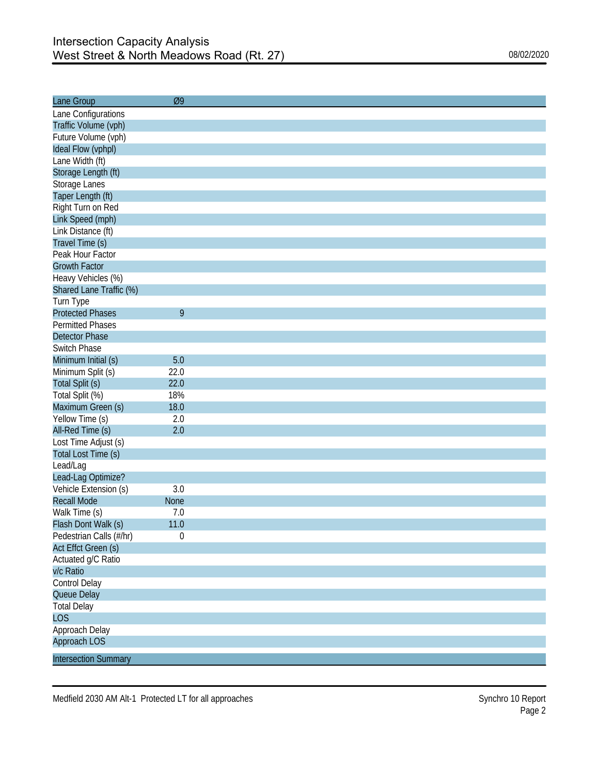| Lane Group                  | Ø9               |  |
|-----------------------------|------------------|--|
| Lane Configurations         |                  |  |
| Traffic Volume (vph)        |                  |  |
| Future Volume (vph)         |                  |  |
| Ideal Flow (vphpl)          |                  |  |
| Lane Width (ft)             |                  |  |
| Storage Length (ft)         |                  |  |
| Storage Lanes               |                  |  |
| Taper Length (ft)           |                  |  |
| Right Turn on Red           |                  |  |
| Link Speed (mph)            |                  |  |
| Link Distance (ft)          |                  |  |
| Travel Time (s)             |                  |  |
| Peak Hour Factor            |                  |  |
| <b>Growth Factor</b>        |                  |  |
| Heavy Vehicles (%)          |                  |  |
| Shared Lane Traffic (%)     |                  |  |
| Turn Type                   |                  |  |
| <b>Protected Phases</b>     | 9                |  |
| <b>Permitted Phases</b>     |                  |  |
| <b>Detector Phase</b>       |                  |  |
| Switch Phase                |                  |  |
| Minimum Initial (s)         | 5.0              |  |
| Minimum Split (s)           | 22.0             |  |
| Total Split (s)             | 22.0             |  |
| Total Split (%)             | 18%              |  |
| Maximum Green (s)           | 18.0             |  |
| Yellow Time (s)             | 2.0              |  |
| All-Red Time (s)            | 2.0              |  |
| Lost Time Adjust (s)        |                  |  |
| Total Lost Time (s)         |                  |  |
| Lead/Lag                    |                  |  |
| Lead-Lag Optimize?          |                  |  |
| Vehicle Extension (s)       | 3.0              |  |
| <b>Recall Mode</b>          | <b>None</b>      |  |
| Walk Time (s)               | 7.0              |  |
| Flash Dont Walk (s)         | 11.0             |  |
| Pedestrian Calls (#/hr)     | $\boldsymbol{0}$ |  |
| Act Effct Green (s)         |                  |  |
| Actuated g/C Ratio          |                  |  |
| v/c Ratio                   |                  |  |
| Control Delay               |                  |  |
| Queue Delay                 |                  |  |
| <b>Total Delay</b>          |                  |  |
| <b>LOS</b>                  |                  |  |
| Approach Delay              |                  |  |
| Approach LOS                |                  |  |
| <b>Intersection Summary</b> |                  |  |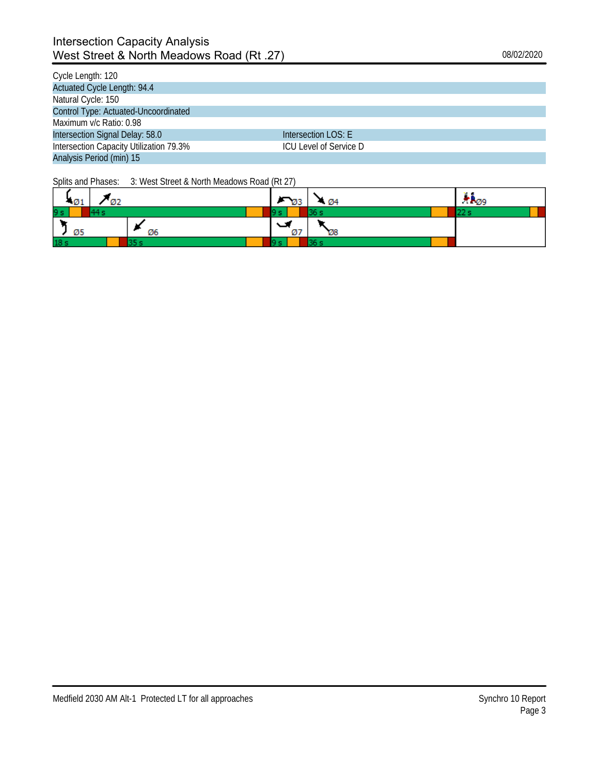### Intersection Capacity Analysis West Street & North Meadows Road (Rt .27) 08/02/2020

| Cycle Length: 120                       |                        |
|-----------------------------------------|------------------------|
| Actuated Cycle Length: 94.4             |                        |
| Natural Cycle: 150                      |                        |
| Control Type: Actuated-Uncoordinated    |                        |
| Maximum y/c Ratio: 0.98                 |                        |
| Intersection Signal Delay: 58.0         | Intersection LOS: E    |
| Intersection Capacity Utilization 79.3% | ICU Level of Service D |
| Analysis Period (min) 15                |                        |

| $-01$           |    | $\overline{93}$ | 404 | $\pi R_{00}$ |
|-----------------|----|-----------------|-----|--------------|
| 9 <sub>s</sub>  |    | 9 s             |     | 22s          |
| Ø5              | Ø6 | Ø7              | Ø8  |              |
| 18 <sub>s</sub> |    | Q el            |     |              |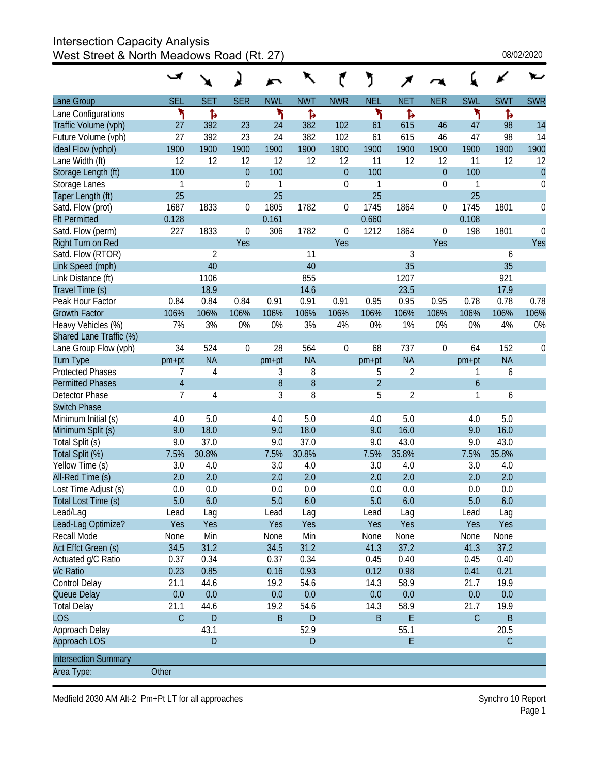### Intersection Capacity Analysis West Street & North Meadows Road (Rt. 27)  $08/02/2020$

|                             |                |                |                  |              |              |                  | J              |                |                  |                  |             |            |
|-----------------------------|----------------|----------------|------------------|--------------|--------------|------------------|----------------|----------------|------------------|------------------|-------------|------------|
| Lane Group                  | <b>SEL</b>     | <b>SET</b>     | <b>SER</b>       | <b>NWL</b>   | <b>NWT</b>   | <b>NWR</b>       | <b>NEL</b>     | <b>NET</b>     | <b>NER</b>       | <b>SWL</b>       | <b>SWT</b>  | <b>SWR</b> |
| Lane Configurations         | ۲              | Ъ              |                  | ۲            | Ъ            |                  | ۲              | Ъ              |                  | ۲                | Ъ           |            |
| Traffic Volume (vph)        | 27             | 392            | 23               | 24           | 382          | 102              | 61             | 615            | 46               | 47               | 98          | 14         |
| Future Volume (vph)         | 27             | 392            | 23               | 24           | 382          | 102              | 61             | 615            | 46               | 47               | 98          | 14         |
| Ideal Flow (vphpl)          | 1900           | 1900           | 1900             | 1900         | 1900         | 1900             | 1900           | 1900           | 1900             | 1900             | 1900        | 1900       |
| Lane Width (ft)             | 12             | 12             | 12               | 12           | 12           | 12               | 11             | 12             | 12               | 11               | 12          | 12         |
| Storage Length (ft)         | 100            |                | $\overline{0}$   | 100          |              | $\boldsymbol{0}$ | 100            |                | $\overline{0}$   | 100              |             | $\theta$   |
| Storage Lanes               | $\mathbf{1}$   |                | 0                | $\mathbf{1}$ |              | 0                | 1              |                | $\boldsymbol{0}$ | 1                |             | $\theta$   |
| Taper Length (ft)           | 25             |                |                  | 25           |              |                  | 25             |                |                  | 25               |             |            |
| Satd. Flow (prot)           | 1687           | 1833           | $\boldsymbol{0}$ | 1805         | 1782         | 0                | 1745           | 1864           | 0                | 1745             | 1801        | $\theta$   |
| <b>Flt Permitted</b>        | 0.128          |                |                  | 0.161        |              |                  | 0.660          |                |                  | 0.108            |             |            |
| Satd. Flow (perm)           | 227            | 1833           | $\mathbf 0$      | 306          | 1782         | 0                | 1212           | 1864           | 0                | 198              | 1801        | $\Omega$   |
| Right Turn on Red           |                |                | Yes              |              |              | Yes              |                |                | Yes              |                  |             | Yes        |
| Satd. Flow (RTOR)           |                | $\overline{2}$ |                  |              | 11           |                  |                | 3              |                  |                  | 6           |            |
| Link Speed (mph)            |                | 40             |                  |              | 40           |                  |                | 35             |                  |                  | 35          |            |
| Link Distance (ft)          |                | 1106           |                  |              | 855          |                  |                | 1207           |                  |                  | 921         |            |
| Travel Time (s)             |                | 18.9           |                  |              | 14.6         |                  |                | 23.5           |                  |                  | 17.9        |            |
| Peak Hour Factor            | 0.84           | 0.84           | 0.84             | 0.91         | 0.91         | 0.91             | 0.95           | 0.95           | 0.95             | 0.78             | 0.78        | 0.78       |
| <b>Growth Factor</b>        | 106%           | 106%           | 106%             | 106%         | 106%         | 106%             | 106%           | 106%           | 106%             | 106%             | 106%        | 106%       |
| Heavy Vehicles (%)          | 7%             | 3%             | 0%               | 0%           | 3%           | 4%               | 0%             | 1%             | 0%               | 0%               | 4%          | 0%         |
| Shared Lane Traffic (%)     |                |                |                  |              |              |                  |                |                |                  |                  |             |            |
| Lane Group Flow (vph)       | 34             | 524            | $\mathbf 0$      | 28           | 564          | 0                | 68             | 737            | 0                | 64               | 152         | $\Omega$   |
| <b>Turn Type</b>            | pm+pt          | <b>NA</b>      |                  | $pm+pt$      | <b>NA</b>    |                  | $pm+pt$        | <b>NA</b>      |                  | pm+pt            | <b>NA</b>   |            |
| <b>Protected Phases</b>     | 7              | 4              |                  | 3            | 8            |                  | 5              | 2              |                  | 1                | 6           |            |
| <b>Permitted Phases</b>     | $\overline{4}$ |                |                  | 8            | 8            |                  | $\overline{2}$ |                |                  | $\boldsymbol{6}$ |             |            |
| Detector Phase              | 7              | 4              |                  | 3            | 8            |                  | 5              | $\overline{2}$ |                  | 1                | 6           |            |
| <b>Switch Phase</b>         |                |                |                  |              |              |                  |                |                |                  |                  |             |            |
| Minimum Initial (s)         | 4.0            | 5.0            |                  | 4.0          | 5.0          |                  | 4.0            | 5.0            |                  | 4.0              | 5.0         |            |
| Minimum Split (s)           | 9.0            | 18.0           |                  | 9.0          | 18.0         |                  | 9.0            | 16.0           |                  | 9.0              | 16.0        |            |
| Total Split (s)             | 9.0            | 37.0           |                  | 9.0          | 37.0         |                  | 9.0            | 43.0           |                  | 9.0              | 43.0        |            |
| Total Split (%)             | 7.5%           | 30.8%          |                  | 7.5%         | 30.8%        |                  | 7.5%           | 35.8%          |                  | 7.5%             | 35.8%       |            |
| Yellow Time (s)             | 3.0            | 4.0            |                  | 3.0          | 4.0          |                  | 3.0            | 4.0            |                  | 3.0              | 4.0         |            |
| All-Red Time (s)            | 2.0            | 2.0            |                  | 2.0          | 2.0          |                  | 2.0            | 2.0            |                  | 2.0              | 2.0         |            |
| Lost Time Adjust (s)        | 0.0            | 0.0            |                  | 0.0          | 0.0          |                  | 0.0            | 0.0            |                  | 0.0              | 0.0         |            |
| Total Lost Time (s)         | 5.0            | 6.0            |                  | 5.0          | 6.0          |                  | 5.0            | 6.0            |                  | 5.0              | 6.0         |            |
| Lead/Lag                    | Lead           | Lag            |                  | Lead         | Lag          |                  | Lead           | Lag            |                  | Lead             | Lag         |            |
| Lead-Lag Optimize?          | Yes            | Yes            |                  | Yes          | Yes          |                  | Yes            | Yes            |                  | Yes              | Yes         |            |
| Recall Mode                 | None           | Min            |                  | None         | Min          |                  | None           | None           |                  | None             | None        |            |
| Act Effct Green (s)         | 34.5           | 31.2           |                  | 34.5         | 31.2         |                  | 41.3           | 37.2           |                  | 41.3             | 37.2        |            |
| Actuated g/C Ratio          | 0.37           | 0.34           |                  | 0.37         | 0.34         |                  | 0.45           | 0.40           |                  | 0.45             | 0.40        |            |
| v/c Ratio                   | 0.23           | 0.85           |                  | 0.16         | 0.93         |                  | 0.12           | 0.98           |                  | 0.41             | 0.21        |            |
| Control Delay               | 21.1           | 44.6           |                  | 19.2         | 54.6         |                  | 14.3           | 58.9           |                  | 21.7             | 19.9        |            |
| Queue Delay                 | 0.0            | 0.0            |                  | 0.0          | 0.0          |                  | 0.0            | 0.0            |                  | 0.0              | 0.0         |            |
| <b>Total Delay</b>          | 21.1           | 44.6           |                  | 19.2         | 54.6         |                  | 14.3           | 58.9           |                  | 21.7             | 19.9        |            |
| <b>LOS</b>                  | $\mathsf C$    | $\mathsf{D}$   |                  | $\sf B$      | $\mathsf{D}$ |                  | $\mathsf B$    | E              |                  | $\mathsf C$      | B           |            |
| Approach Delay              |                | 43.1           |                  |              | 52.9         |                  |                | 55.1           |                  |                  | 20.5        |            |
| Approach LOS                |                | $\mathsf D$    |                  |              | $\mathsf{D}$ |                  |                | E              |                  |                  | $\mathsf C$ |            |
| <b>Intersection Summary</b> |                |                |                  |              |              |                  |                |                |                  |                  |             |            |
| Area Type:                  | Other          |                |                  |              |              |                  |                |                |                  |                  |             |            |
|                             |                |                |                  |              |              |                  |                |                |                  |                  |             |            |

Medfield 2030 AM Alt-2 Pm+Pt LT for all approaches

Synchro 10 Report<br>Page 1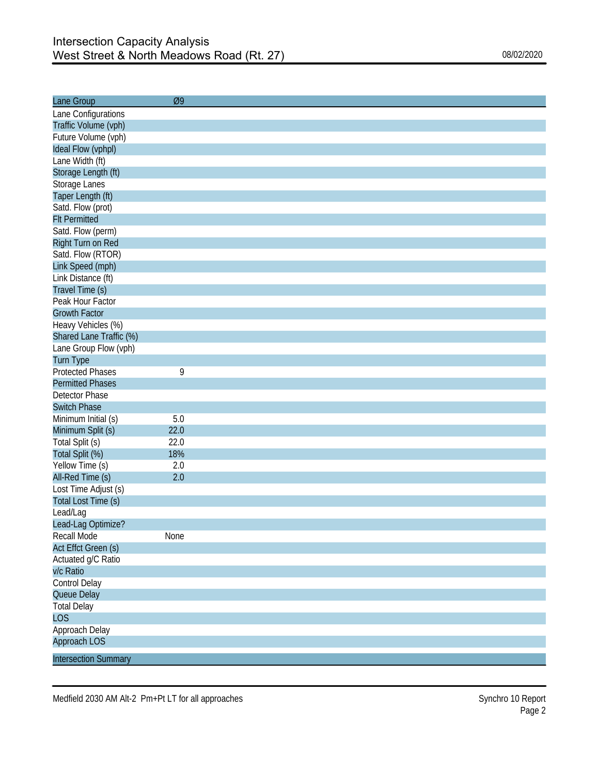| Lane Group                  | Ø9   |
|-----------------------------|------|
| Lane Configurations         |      |
| Traffic Volume (vph)        |      |
| Future Volume (vph)         |      |
| Ideal Flow (vphpl)          |      |
| Lane Width (ft)             |      |
| Storage Length (ft)         |      |
| Storage Lanes               |      |
| Taper Length (ft)           |      |
| Satd. Flow (prot)           |      |
| <b>Flt Permitted</b>        |      |
| Satd. Flow (perm)           |      |
| Right Turn on Red           |      |
| Satd. Flow (RTOR)           |      |
| Link Speed (mph)            |      |
| Link Distance (ft)          |      |
| Travel Time (s)             |      |
| Peak Hour Factor            |      |
| <b>Growth Factor</b>        |      |
| Heavy Vehicles (%)          |      |
| Shared Lane Traffic (%)     |      |
| Lane Group Flow (vph)       |      |
| Turn Type                   |      |
| <b>Protected Phases</b>     | 9    |
| <b>Permitted Phases</b>     |      |
| Detector Phase              |      |
| <b>Switch Phase</b>         |      |
| Minimum Initial (s)         | 5.0  |
| Minimum Split (s)           | 22.0 |
| Total Split (s)             | 22.0 |
| Total Split (%)             | 18%  |
| Yellow Time (s)             | 2.0  |
| All-Red Time (s)            | 2.0  |
| Lost Time Adjust (s)        |      |
| Total Lost Time (s)         |      |
| Lead/Lag                    |      |
| Lead-Lag Optimize?          |      |
| Recall Mode                 | None |
| Act Effct Green (s)         |      |
| Actuated g/C Ratio          |      |
| v/c Ratio                   |      |
| Control Delay               |      |
| Queue Delay                 |      |
| <b>Total Delay</b>          |      |
| <b>LOS</b>                  |      |
| Approach Delay              |      |
| Approach LOS                |      |
| <b>Intersection Summary</b> |      |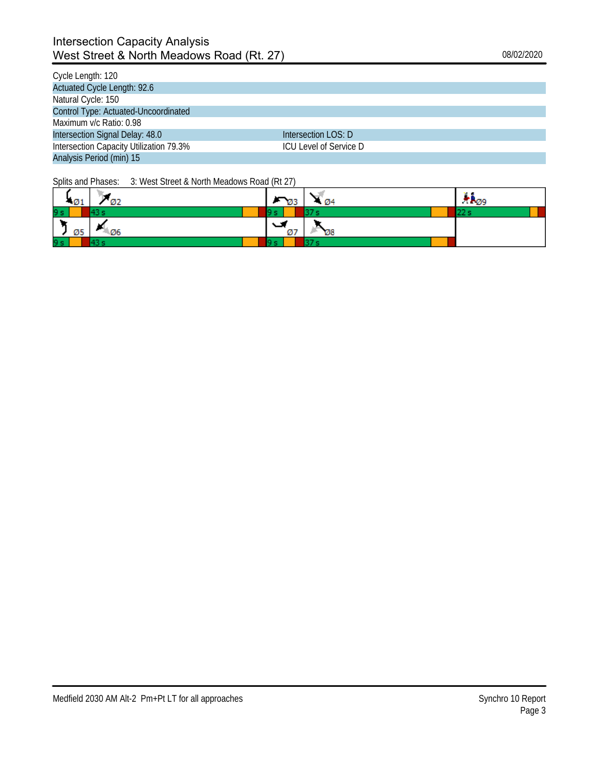### Intersection Capacity Analysis West Street & North Meadows Road (Rt. 27) 08/02/2020

| Cycle Length: 120                       |                        |
|-----------------------------------------|------------------------|
| Actuated Cycle Length: 92.6             |                        |
| Natural Cycle: 150                      |                        |
| Control Type: Actuated-Uncoordinated    |                        |
| Maximum v/c Ratio: 0.98                 |                        |
| Intersection Signal Delay: 48.0         | Intersection LOS: D    |
| Intersection Capacity Utilization 79.3% | ICU Level of Service D |
| Analysis Period (min) 15                |                        |

| $-01$ |         | $\sqrt{93}$ | $\cdot$ Ø4 | . e<br>$\pi_{PQ9}$ |
|-------|---------|-------------|------------|--------------------|
| 9 s   |         |             |            | 223                |
| Ø5    | $-4.06$ | تما<br>Ø7   | Ø8         |                    |
| 9 s   |         |             |            |                    |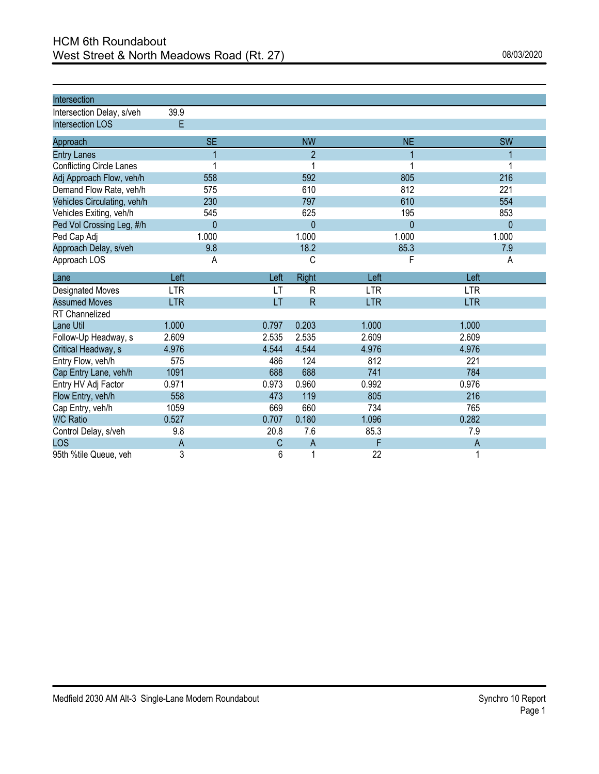| Intersection                    |              |       |                         |            |              |                |  |
|---------------------------------|--------------|-------|-------------------------|------------|--------------|----------------|--|
| Intersection Delay, s/veh       | 39.9         |       |                         |            |              |                |  |
| <b>Intersection LOS</b>         | E            |       |                         |            |              |                |  |
| Approach                        | <b>SE</b>    |       | <b>NW</b>               |            | <b>NE</b>    | <b>SW</b>      |  |
| <b>Entry Lanes</b>              | 1            |       | 2                       |            | 1            |                |  |
| <b>Conflicting Circle Lanes</b> | 1            |       | 1                       |            | 1            |                |  |
| Adj Approach Flow, veh/h        | 558          |       | 592                     |            | 805          | 216            |  |
| Demand Flow Rate, veh/h         | 575          |       | 610                     |            | 812          | 221            |  |
| Vehicles Circulating, veh/h     | 230          |       | 797                     |            | 610          | 554            |  |
| Vehicles Exiting, veh/h         | 545          |       | 625                     |            | 195          | 853            |  |
| Ped Vol Crossing Leg, #/h       | $\mathbf{0}$ |       | 0                       |            | $\mathbf{0}$ | $\mathbf{0}$   |  |
| Ped Cap Adj                     | 1.000        |       | 1.000                   |            | 1.000        | 1.000          |  |
| Approach Delay, s/veh           | 9.8          |       | 18.2                    |            | 85.3         | 7.9            |  |
| Approach LOS                    | A            |       | С                       |            | F            | A              |  |
| Lane                            | Left         | Left  | <b>Right</b>            | Left       |              | Left           |  |
| <b>Designated Moves</b>         | <b>LTR</b>   | LT    | $\mathsf R$             | <b>LTR</b> |              | <b>LTR</b>     |  |
| <b>Assumed Moves</b>            | <b>LTR</b>   | LT    | $\overline{\mathsf{R}}$ | <b>LTR</b> |              | <b>LTR</b>     |  |
| RT Channelized                  |              |       |                         |            |              |                |  |
| Lane Util                       | 1.000        | 0.797 | 0.203                   | 1.000      |              | 1.000          |  |
| Follow-Up Headway, s            | 2.609        | 2.535 | 2.535                   | 2.609      |              | 2.609          |  |
| Critical Headway, s             | 4.976        | 4.544 | 4.544                   | 4.976      |              | 4.976          |  |
| Entry Flow, veh/h               | 575          | 486   | 124                     | 812        |              | 221            |  |
| Cap Entry Lane, veh/h           | 1091         | 688   | 688                     | 741        |              | 784            |  |
| Entry HV Adj Factor             | 0.971        | 0.973 | 0.960                   | 0.992      |              | 0.976          |  |
| Flow Entry, veh/h               | 558          | 473   | 119                     | 805        |              | 216            |  |
| Cap Entry, veh/h                | 1059         | 669   | 660                     | 734        |              | 765            |  |
| <b>V/C Ratio</b>                | 0.527        | 0.707 | 0.180                   | 1.096      |              | 0.282          |  |
| Control Delay, s/veh            | 9.8          | 20.8  | 7.6                     | 85.3       |              | 7.9            |  |
| LOS                             | A            | С     | $\overline{A}$          | F          |              | $\overline{A}$ |  |
| 95th %tile Queue, veh           | 3            | 6     | 1                       | 22         |              | 1              |  |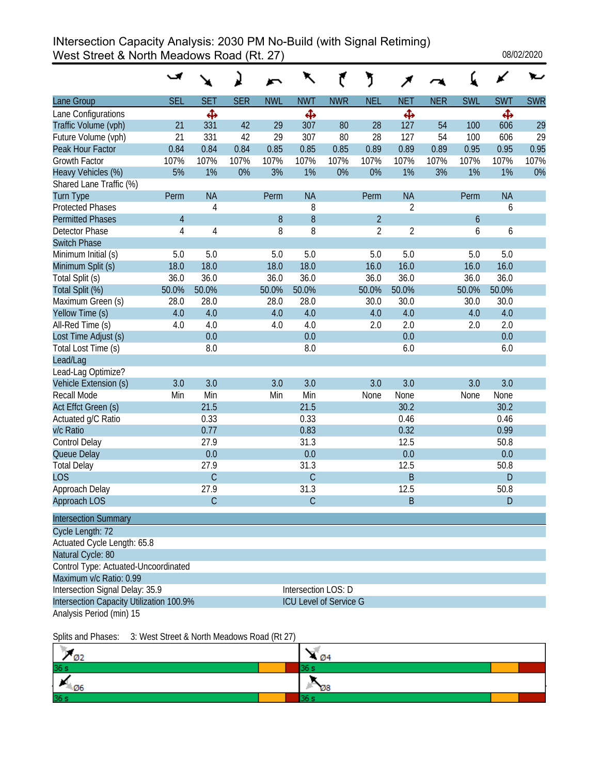### INtersection Capacity Analysis: 2030 PM No-Build (with Signal Retiming) West Street & North Meadows Road (Rt. 27) 2020 08/02/2020

|                                          |            |                |            |            | ↖                             |            | ን              |                |            |            |            |            |
|------------------------------------------|------------|----------------|------------|------------|-------------------------------|------------|----------------|----------------|------------|------------|------------|------------|
| <b>Lane Group</b>                        | <b>SEL</b> | <b>SET</b>     | <b>SER</b> | <b>NWL</b> | <b>NWT</b>                    | <b>NWR</b> | <b>NEL</b>     | <b>NET</b>     | <b>NER</b> | <b>SWL</b> | <b>SWT</b> | <b>SWR</b> |
| Lane Configurations                      |            | Ф              |            |            | Ф                             |            |                | Ф              |            |            | Ф          |            |
| Traffic Volume (vph)                     | 21         | 331            | 42         | 29         | 307                           | 80         | 28             | 127            | 54         | 100        | 606        | 29         |
| Future Volume (vph)                      | 21         | 331            | 42         | 29         | 307                           | 80         | 28             | 127            | 54         | 100        | 606        | 29         |
| Peak Hour Factor                         | 0.84       | 0.84           | 0.84       | 0.85       | 0.85                          | 0.85       | 0.89           | 0.89           | 0.89       | 0.95       | 0.95       | 0.95       |
| <b>Growth Factor</b>                     | 107%       | 107%           | 107%       | 107%       | 107%                          | 107%       | 107%           | 107%           | 107%       | 107%       | 107%       | 107%       |
| Heavy Vehicles (%)                       | 5%         | 1%             | 0%         | 3%         | 1%                            | $0\%$      | 0%             | 1%             | 3%         | 1%         | 1%         | 0%         |
| Shared Lane Traffic (%)                  |            |                |            |            |                               |            |                |                |            |            |            |            |
| Turn Type                                | Perm       | <b>NA</b>      |            | Perm       | <b>NA</b>                     |            | Perm           | <b>NA</b>      |            | Perm       | <b>NA</b>  |            |
| <b>Protected Phases</b>                  |            | 4              |            |            | 8                             |            |                | $\overline{2}$ |            |            | 6          |            |
| <b>Permitted Phases</b>                  | 4          |                |            | 8          | 8                             |            | $\overline{2}$ |                |            | 6          |            |            |
| <b>Detector Phase</b>                    | 4          | $\overline{4}$ |            | 8          | 8                             |            | $\overline{2}$ | $\overline{2}$ |            | 6          | 6          |            |
| <b>Switch Phase</b>                      |            |                |            |            |                               |            |                |                |            |            |            |            |
| Minimum Initial (s)                      | 5.0        | 5.0            |            | 5.0        | 5.0                           |            | 5.0            | 5.0            |            | 5.0        | 5.0        |            |
| Minimum Split (s)                        | 18.0       | 18.0           |            | 18.0       | 18.0                          |            | 16.0           | 16.0           |            | 16.0       | 16.0       |            |
| Total Split (s)                          | 36.0       | 36.0           |            | 36.0       | 36.0                          |            | 36.0           | 36.0           |            | 36.0       | 36.0       |            |
| Total Split (%)                          | 50.0%      | 50.0%          |            | 50.0%      | 50.0%                         |            | 50.0%          | 50.0%          |            | 50.0%      | 50.0%      |            |
| Maximum Green (s)                        | 28.0       | 28.0           |            | 28.0       | 28.0                          |            | 30.0           | 30.0           |            | 30.0       | 30.0       |            |
| Yellow Time (s)                          | 4.0        | 4.0            |            | 4.0        | 4.0                           |            | 4.0            | 4.0            |            | 4.0        | 4.0        |            |
| All-Red Time (s)                         | 4.0        | 4.0            |            | 4.0        | 4.0                           |            | 2.0            | 2.0            |            | 2.0        | 2.0        |            |
| Lost Time Adjust (s)                     |            | 0.0            |            |            | 0.0                           |            |                | 0.0            |            |            | 0.0        |            |
| Total Lost Time (s)                      |            | 8.0            |            |            | 8.0                           |            |                | 6.0            |            |            | 6.0        |            |
| Lead/Lag                                 |            |                |            |            |                               |            |                |                |            |            |            |            |
| Lead-Lag Optimize?                       |            |                |            |            |                               |            |                |                |            |            |            |            |
| Vehicle Extension (s)                    | 3.0        | 3.0            |            | 3.0        | 3.0                           |            | 3.0            | 3.0            |            | 3.0        | 3.0        |            |
| Recall Mode                              | Min        | Min            |            | Min        | Min                           |            | None           | None           |            | None       | None       |            |
| Act Effct Green (s)                      |            | 21.5           |            |            | 21.5                          |            |                | 30.2           |            |            | 30.2       |            |
| Actuated g/C Ratio                       |            | 0.33           |            |            | 0.33                          |            |                | 0.46           |            |            | 0.46       |            |
| v/c Ratio                                |            | 0.77           |            |            | 0.83                          |            |                | 0.32           |            |            | 0.99       |            |
| Control Delay                            |            | 27.9           |            |            | 31.3                          |            |                | 12.5           |            |            | 50.8       |            |
| Queue Delay                              |            | 0.0            |            |            | 0.0                           |            |                | 0.0            |            |            | 0.0        |            |
| <b>Total Delay</b>                       |            | 27.9           |            |            | 31.3                          |            |                | 12.5           |            |            | 50.8       |            |
| <b>LOS</b>                               |            | $\overline{C}$ |            |            | $\overline{C}$                |            |                | B              |            |            | D          |            |
| Approach Delay                           |            | 27.9           |            |            | 31.3                          |            |                | 12.5           |            |            | 50.8       |            |
| <b>Approach LOS</b>                      |            | $\mathsf C$    |            |            | $\mathsf C$                   |            |                | B              |            |            | D          |            |
| <b>Intersection Summary</b>              |            |                |            |            |                               |            |                |                |            |            |            |            |
| Cycle Length: 72                         |            |                |            |            |                               |            |                |                |            |            |            |            |
| Actuated Cycle Length: 65.8              |            |                |            |            |                               |            |                |                |            |            |            |            |
| Natural Cycle: 80                        |            |                |            |            |                               |            |                |                |            |            |            |            |
| Control Type: Actuated-Uncoordinated     |            |                |            |            |                               |            |                |                |            |            |            |            |
| Maximum v/c Ratio: 0.99                  |            |                |            |            |                               |            |                |                |            |            |            |            |
| Intersection Signal Delay: 35.9          |            |                |            |            | Intersection LOS: D           |            |                |                |            |            |            |            |
| Intersection Capacity Utilization 100.9% |            |                |            |            | <b>ICU Level of Service G</b> |            |                |                |            |            |            |            |
| Analysis Period (min) 15                 |            |                |            |            |                               |            |                |                |            |            |            |            |

| <b>ARM</b><br>øΖ            | Ø4 |
|-----------------------------|----|
| 36 <sub>s</sub>             |    |
| $\overline{\phantom{0}}$ 06 | Ø8 |
| 36 <sub>s</sub>             |    |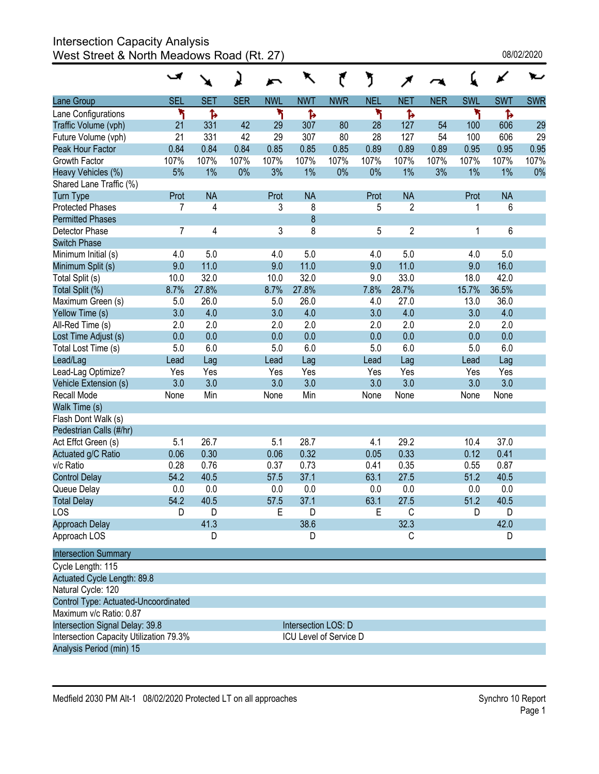# Intersection Capacity Analysis

West Street & North Meadows Road (Rt. 27)  $\,$  . The contract of  $\,$  08/02/2020  $\,$  08/02/2020  $\,$ 

|                                         |            |            |            |            | ↖                      |            | ን          |                |            |            |            |            |
|-----------------------------------------|------------|------------|------------|------------|------------------------|------------|------------|----------------|------------|------------|------------|------------|
| Lane Group                              | <b>SEL</b> | <b>SET</b> | <b>SER</b> | <b>NWL</b> | <b>NWT</b>             | <b>NWR</b> | <b>NEL</b> | <b>NET</b>     | <b>NER</b> | <b>SWL</b> | <b>SWT</b> | <b>SWR</b> |
| Lane Configurations                     | ۲          | Ъ          |            | ۲          | Ъ                      |            | ۲          | Ъ              |            | ۲          | Ъ          |            |
| Traffic Volume (vph)                    | 21         | 331        | 42         | 29         | 307                    | 80         | 28         | 127            | 54         | 100        | 606        | 29         |
| Future Volume (vph)                     | 21         | 331        | 42         | 29         | 307                    | 80         | 28         | 127            | 54         | 100        | 606        | 29         |
| Peak Hour Factor                        | 0.84       | 0.84       | 0.84       | 0.85       | 0.85                   | 0.85       | 0.89       | 0.89           | 0.89       | 0.95       | 0.95       | 0.95       |
| Growth Factor                           | 107%       | 107%       | 107%       | 107%       | 107%                   | 107%       | 107%       | 107%           | 107%       | 107%       | 107%       | 107%       |
| Heavy Vehicles (%)                      | 5%         | 1%         | 0%         | 3%         | 1%                     | 0%         | 0%         | $1\%$          | 3%         | 1%         | 1%         | 0%         |
| Shared Lane Traffic (%)                 |            |            |            |            |                        |            |            |                |            |            |            |            |
| <b>Turn Type</b>                        | Prot       | <b>NA</b>  |            | Prot       | <b>NA</b>              |            | Prot       | <b>NA</b>      |            | Prot       | <b>NA</b>  |            |
| <b>Protected Phases</b>                 | 7          | 4          |            | 3          | 8                      |            | 5          | $\overline{2}$ |            | 1          | 6          |            |
| <b>Permitted Phases</b>                 |            |            |            |            | $\overline{8}$         |            |            |                |            |            |            |            |
| Detector Phase                          | 7          | 4          |            | 3          | 8                      |            | 5          | $\overline{2}$ |            | 1          | 6          |            |
| <b>Switch Phase</b>                     |            |            |            |            |                        |            |            |                |            |            |            |            |
| Minimum Initial (s)                     | 4.0        | 5.0        |            | 4.0        | 5.0                    |            | 4.0        | 5.0            |            | 4.0        | 5.0        |            |
| Minimum Split (s)                       | 9.0        | 11.0       |            | 9.0        | 11.0                   |            | 9.0        | 11.0           |            | 9.0        | 16.0       |            |
| Total Split (s)                         | 10.0       | 32.0       |            | 10.0       | 32.0                   |            | 9.0        | 33.0           |            | 18.0       | 42.0       |            |
| Total Split (%)                         | 8.7%       | 27.8%      |            | 8.7%       | 27.8%                  |            | 7.8%       | 28.7%          |            | 15.7%      | 36.5%      |            |
| Maximum Green (s)                       | 5.0        | 26.0       |            | 5.0        | 26.0                   |            | 4.0        | 27.0           |            | 13.0       | 36.0       |            |
| Yellow Time (s)                         | 3.0        | 4.0        |            | 3.0        | 4.0                    |            | 3.0        | 4.0            |            | 3.0        | 4.0        |            |
| All-Red Time (s)                        | 2.0        | 2.0        |            | 2.0        | 2.0                    |            | 2.0        | 2.0            |            | 2.0        | 2.0        |            |
| Lost Time Adjust (s)                    | 0.0        | 0.0        |            | 0.0        | 0.0                    |            | 0.0        | 0.0            |            | 0.0        | 0.0        |            |
| Total Lost Time (s)                     | 5.0        | 6.0        |            | 5.0        | 6.0                    |            | 5.0        | 6.0            |            | 5.0        | 6.0        |            |
| Lead/Lag                                | Lead       | Lag        |            | Lead       | Lag                    |            | Lead       | Lag            |            | Lead       | Lag        |            |
| Lead-Lag Optimize?                      | Yes        | Yes        |            | Yes        | Yes                    |            | Yes        | Yes            |            | Yes        | Yes        |            |
| Vehicle Extension (s)                   | 3.0        | 3.0        |            | 3.0        | 3.0                    |            | 3.0        | 3.0            |            | 3.0        | 3.0        |            |
| Recall Mode                             | None       | Min        |            | None       | Min                    |            | None       | None           |            | None       | None       |            |
| Walk Time (s)                           |            |            |            |            |                        |            |            |                |            |            |            |            |
| Flash Dont Walk (s)                     |            |            |            |            |                        |            |            |                |            |            |            |            |
| Pedestrian Calls (#/hr)                 |            |            |            |            |                        |            |            |                |            |            |            |            |
| Act Effct Green (s)                     | 5.1        | 26.7       |            | 5.1        | 28.7                   |            | 4.1        | 29.2           |            | 10.4       | 37.0       |            |
| Actuated g/C Ratio                      | 0.06       | 0.30       |            | 0.06       | 0.32                   |            | 0.05       | 0.33           |            | 0.12       | 0.41       |            |
| v/c Ratio                               | 0.28       | 0.76       |            | 0.37       | 0.73                   |            | 0.41       | 0.35           |            | 0.55       | 0.87       |            |
| <b>Control Delay</b>                    | 54.2       | 40.5       |            | 57.5       | 37.1                   |            | 63.1       | 27.5           |            | 51.2       | 40.5       |            |
| Queue Delay                             | 0.0        | 0.0        |            | 0.0        | 0.0                    |            | 0.0        | 0.0            |            | 0.0        | 0.0        |            |
| <b>Total Delay</b>                      | 54.2       | 40.5       |            | 57.5       | 37.1                   |            | 63.1       | 27.5           |            | 51.2       | 40.5       |            |
| LOS                                     | D          | D          |            | E          | D                      |            | Е          | С              |            | D          | D          |            |
| Approach Delay                          |            | 41.3       |            |            | 38.6                   |            |            | 32.3           |            |            | 42.0       |            |
| Approach LOS                            |            | D          |            |            | D                      |            |            | С              |            |            | D          |            |
| <b>Intersection Summary</b>             |            |            |            |            |                        |            |            |                |            |            |            |            |
| Cycle Length: 115                       |            |            |            |            |                        |            |            |                |            |            |            |            |
| Actuated Cycle Length: 89.8             |            |            |            |            |                        |            |            |                |            |            |            |            |
| Natural Cycle: 120                      |            |            |            |            |                        |            |            |                |            |            |            |            |
| Control Type: Actuated-Uncoordinated    |            |            |            |            |                        |            |            |                |            |            |            |            |
| Maximum v/c Ratio: 0.87                 |            |            |            |            |                        |            |            |                |            |            |            |            |
| Intersection Signal Delay: 39.8         |            |            |            |            | Intersection LOS: D    |            |            |                |            |            |            |            |
| Intersection Capacity Utilization 79.3% |            |            |            |            | ICU Level of Service D |            |            |                |            |            |            |            |
| Analysis Period (min) 15                |            |            |            |            |                        |            |            |                |            |            |            |            |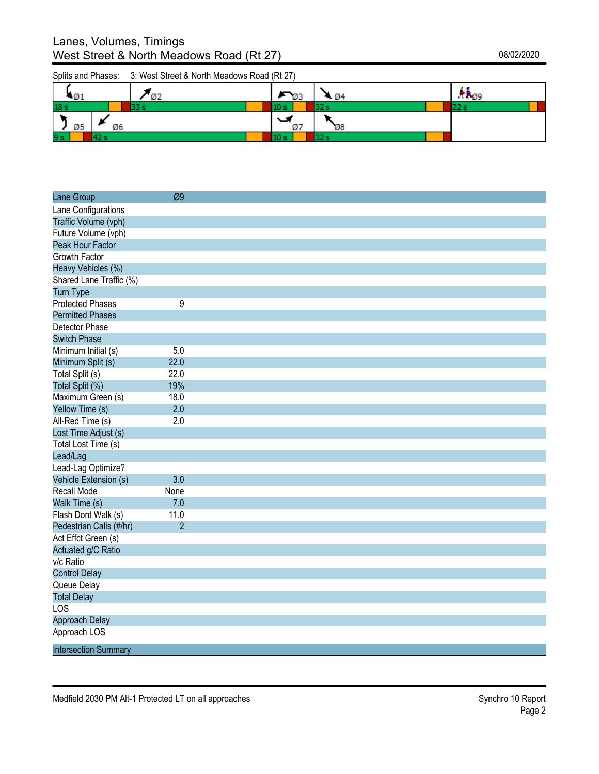| $\varnothing$ 1 |    | Ø2   |      | $\overline{93}$ | - 04 | *B <sub>Ø9</sub> |
|-----------------|----|------|------|-----------------|------|------------------|
| 18 <sub>s</sub> |    | 22 e | 10 S |                 | 32s  |                  |
| Ø5              | Ø6 |      |      | ﯩﺖ<br>Ø7        | Ø8   |                  |
| 9 <sub>s</sub>  |    |      |      |                 | 32s  |                  |

| Lane Group                  | Ø9             |  |
|-----------------------------|----------------|--|
| Lane Configurations         |                |  |
| Traffic Volume (vph)        |                |  |
| Future Volume (vph)         |                |  |
| Peak Hour Factor            |                |  |
| Growth Factor               |                |  |
| Heavy Vehicles (%)          |                |  |
| Shared Lane Traffic (%)     |                |  |
| <b>Turn Type</b>            |                |  |
| <b>Protected Phases</b>     | 9              |  |
| <b>Permitted Phases</b>     |                |  |
| Detector Phase              |                |  |
| <b>Switch Phase</b>         |                |  |
| Minimum Initial (s)         | 5.0            |  |
| Minimum Split (s)           | 22.0           |  |
| Total Split (s)             | 22.0           |  |
| Total Split (%)             | 19%            |  |
| Maximum Green (s)           | 18.0           |  |
| Yellow Time (s)             | 2.0            |  |
| All-Red Time (s)            | 2.0            |  |
| Lost Time Adjust (s)        |                |  |
| Total Lost Time (s)         |                |  |
| Lead/Lag                    |                |  |
| Lead-Lag Optimize?          |                |  |
| Vehicle Extension (s)       | 3.0            |  |
| Recall Mode                 | None           |  |
| Walk Time (s)               | 7.0            |  |
| Flash Dont Walk (s)         | 11.0           |  |
| Pedestrian Calls (#/hr)     | $\overline{2}$ |  |
| Act Effct Green (s)         |                |  |
| Actuated g/C Ratio          |                |  |
| v/c Ratio                   |                |  |
| <b>Control Delay</b>        |                |  |
| Queue Delay                 |                |  |
| <b>Total Delay</b>          |                |  |
| LOS                         |                |  |
| Approach Delay              |                |  |
| Approach LOS                |                |  |
| <b>Intersection Summary</b> |                |  |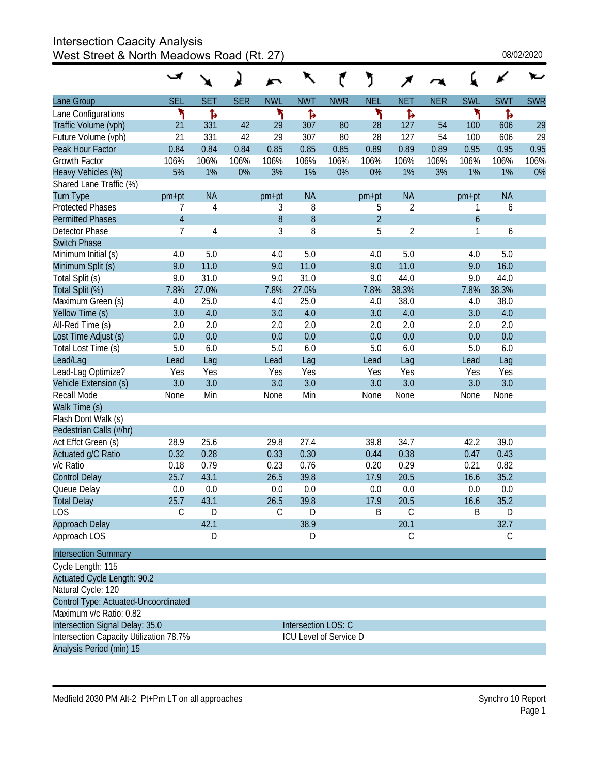### Intersection Caacity Analysis West Street & North Meadows Road (Rt. 27)

|                                         | ◡              |                |            |            | ↖                      |            | ĭ              | ↗              |            |                  |            |            |
|-----------------------------------------|----------------|----------------|------------|------------|------------------------|------------|----------------|----------------|------------|------------------|------------|------------|
| Lane Group                              | <b>SEL</b>     | <b>SET</b>     | <b>SER</b> | <b>NWL</b> | <b>NWT</b>             | <b>NWR</b> | <b>NEL</b>     | <b>NET</b>     | <b>NER</b> | <b>SWL</b>       | <b>SWT</b> | <b>SWR</b> |
| Lane Configurations                     | ኻ              | Ъ              |            | ۲          | Ъ                      |            | ۲              | ħ              |            | ۲                | Ъ          |            |
| Traffic Volume (vph)                    | 21             | 331            | 42         | 29         | 307                    | 80         | 28             | 127            | 54         | 100              | 606        | 29         |
| Future Volume (vph)                     | 21             | 331            | 42         | 29         | 307                    | 80         | 28             | 127            | 54         | 100              | 606        | 29         |
| Peak Hour Factor                        | 0.84           | 0.84           | 0.84       | 0.85       | 0.85                   | 0.85       | 0.89           | 0.89           | 0.89       | 0.95             | 0.95       | 0.95       |
| <b>Growth Factor</b>                    | 106%           | 106%           | 106%       | 106%       | 106%                   | 106%       | 106%           | 106%           | 106%       | 106%             | 106%       | 106%       |
| Heavy Vehicles (%)                      | 5%             | 1%             | 0%         | 3%         | 1%                     | 0%         | 0%             | 1%             | 3%         | 1%               | 1%         | 0%         |
| Shared Lane Traffic (%)                 |                |                |            |            |                        |            |                |                |            |                  |            |            |
| <b>Turn Type</b>                        | pm+pt          | <b>NA</b>      |            | $pm+pt$    | <b>NA</b>              |            | $pm+pt$        | <b>NA</b>      |            | $pm+pt$          | <b>NA</b>  |            |
| <b>Protected Phases</b>                 | 7              | $\overline{4}$ |            | 3          | 8                      |            | 5              | $\overline{2}$ |            | 1                | 6          |            |
| <b>Permitted Phases</b>                 | $\sqrt{4}$     |                |            | $\, 8$     | 8                      |            | $\overline{2}$ |                |            | $\boldsymbol{6}$ |            |            |
| <b>Detector Phase</b>                   | $\overline{7}$ | $\overline{4}$ |            | 3          | 8                      |            | 5              | $\overline{2}$ |            | 1                | 6          |            |
| <b>Switch Phase</b>                     |                |                |            |            |                        |            |                |                |            |                  |            |            |
| Minimum Initial (s)                     | 4.0            | 5.0            |            | 4.0        | 5.0                    |            | 4.0            | 5.0            |            | 4.0              | 5.0        |            |
| Minimum Split (s)                       | 9.0            | 11.0           |            | 9.0        | 11.0                   |            | 9.0            | 11.0           |            | 9.0              | 16.0       |            |
| Total Split (s)                         | 9.0            | 31.0           |            | 9.0        | 31.0                   |            | 9.0            | 44.0           |            | 9.0              | 44.0       |            |
| Total Split (%)                         | 7.8%           | 27.0%          |            | 7.8%       | 27.0%                  |            | 7.8%           | 38.3%          |            | 7.8%             | 38.3%      |            |
| Maximum Green (s)                       | 4.0            | 25.0           |            | 4.0        | 25.0                   |            | 4.0            | 38.0           |            | 4.0              | 38.0       |            |
| Yellow Time (s)                         | 3.0            | 4.0            |            | 3.0        | 4.0                    |            | 3.0            | 4.0            |            | 3.0              | 4.0        |            |
| All-Red Time (s)                        | 2.0            | 2.0            |            | 2.0        | 2.0                    |            | 2.0            | 2.0            |            | 2.0              | 2.0        |            |
| Lost Time Adjust (s)                    | 0.0            | 0.0            |            | 0.0        | 0.0                    |            | 0.0            | 0.0            |            | 0.0              | 0.0        |            |
| Total Lost Time (s)                     | 5.0            | 6.0            |            | 5.0        | 6.0                    |            | 5.0            | 6.0            |            | 5.0              | 6.0        |            |
| Lead/Lag                                | Lead           | Lag            |            | Lead       | Lag                    |            | Lead           | Lag            |            | Lead             | Lag        |            |
| Lead-Lag Optimize?                      | Yes            | Yes            |            | Yes        | Yes                    |            | Yes            | Yes            |            | Yes              | Yes        |            |
| Vehicle Extension (s)                   | 3.0            | 3.0            |            | 3.0        | 3.0                    |            | 3.0            | 3.0            |            | 3.0              | 3.0        |            |
| Recall Mode                             | None           | Min            |            | None       | Min                    |            | None           | None           |            | None             | None       |            |
| Walk Time (s)                           |                |                |            |            |                        |            |                |                |            |                  |            |            |
| Flash Dont Walk (s)                     |                |                |            |            |                        |            |                |                |            |                  |            |            |
| Pedestrian Calls (#/hr)                 |                |                |            |            |                        |            |                |                |            |                  |            |            |
| Act Effct Green (s)                     | 28.9           | 25.6           |            | 29.8       | 27.4                   |            | 39.8           | 34.7           |            | 42.2             | 39.0       |            |
| Actuated g/C Ratio                      | 0.32           | 0.28           |            | 0.33       | 0.30                   |            | 0.44           | 0.38           |            | 0.47             | 0.43       |            |
| v/c Ratio                               | 0.18           | 0.79           |            | 0.23       | 0.76                   |            | 0.20           | 0.29           |            | 0.21             | 0.82       |            |
| <b>Control Delay</b>                    | 25.7           | 43.1           |            | 26.5       | 39.8                   |            | 17.9           | 20.5           |            | 16.6             | 35.2       |            |
| Queue Delay                             | 0.0            | 0.0            |            | 0.0        | 0.0                    |            | 0.0            | 0.0            |            | 0.0              | 0.0        |            |
| <b>Total Delay</b>                      | 25.7           | 43.1           |            | 26.5       | 39.8                   |            | 17.9           | 20.5           |            | 16.6             | 35.2       |            |
| LOS                                     | С              | D              |            | С          | D                      |            | B              | С              |            | Β                | D          |            |
| Approach Delay                          |                | 42.1           |            |            | 38.9                   |            |                | 20.1           |            |                  | 32.7       |            |
| Approach LOS                            |                | D              |            |            | D                      |            |                | C              |            |                  | С          |            |
| <b>Intersection Summary</b>             |                |                |            |            |                        |            |                |                |            |                  |            |            |
| Cycle Length: 115                       |                |                |            |            |                        |            |                |                |            |                  |            |            |
| Actuated Cycle Length: 90.2             |                |                |            |            |                        |            |                |                |            |                  |            |            |
| Natural Cycle: 120                      |                |                |            |            |                        |            |                |                |            |                  |            |            |
| Control Type: Actuated-Uncoordinated    |                |                |            |            |                        |            |                |                |            |                  |            |            |
| Maximum v/c Ratio: 0.82                 |                |                |            |            |                        |            |                |                |            |                  |            |            |
| Intersection Signal Delay: 35.0         |                |                |            |            | Intersection LOS: C    |            |                |                |            |                  |            |            |
| Intersection Capacity Utilization 78.7% |                |                |            |            | ICU Level of Service D |            |                |                |            |                  |            |            |
| Analysis Period (min) 15                |                |                |            |            |                        |            |                |                |            |                  |            |            |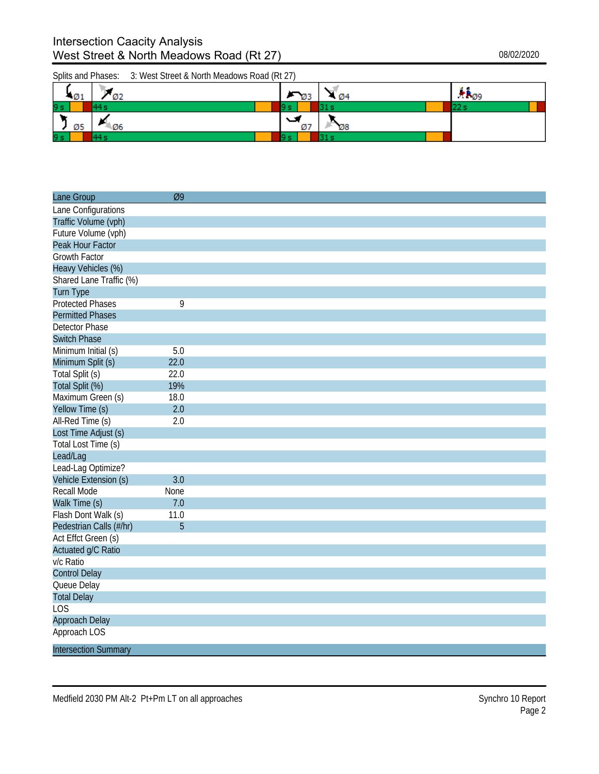| $-01$ | Ø2        | $\nabla_{\emptyset}$ | - 04            | <b>TP</b> <sub>09</sub> |
|-------|-----------|----------------------|-----------------|-------------------------|
| 9 s   |           |                      |                 |                         |
| Ø5    | <b>06</b> | ﯩ<br>Ø7              | $\varnothing$ 8 |                         |
| 9 s   |           |                      |                 |                         |

| Lane Group                  | Ø9   |  |
|-----------------------------|------|--|
| Lane Configurations         |      |  |
| Traffic Volume (vph)        |      |  |
| Future Volume (vph)         |      |  |
| Peak Hour Factor            |      |  |
| <b>Growth Factor</b>        |      |  |
| Heavy Vehicles (%)          |      |  |
| Shared Lane Traffic (%)     |      |  |
| <b>Turn Type</b>            |      |  |
| <b>Protected Phases</b>     | 9    |  |
| <b>Permitted Phases</b>     |      |  |
| <b>Detector Phase</b>       |      |  |
| <b>Switch Phase</b>         |      |  |
| Minimum Initial (s)         | 5.0  |  |
| Minimum Split (s)           | 22.0 |  |
| Total Split (s)             | 22.0 |  |
| Total Split (%)             | 19%  |  |
| Maximum Green (s)           | 18.0 |  |
| Yellow Time (s)             | 2.0  |  |
| All-Red Time (s)            | 2.0  |  |
| Lost Time Adjust (s)        |      |  |
| Total Lost Time (s)         |      |  |
| Lead/Lag                    |      |  |
| Lead-Lag Optimize?          |      |  |
| Vehicle Extension (s)       | 3.0  |  |
| <b>Recall Mode</b>          | None |  |
| Walk Time (s)               | 7.0  |  |
| Flash Dont Walk (s)         | 11.0 |  |
| Pedestrian Calls (#/hr)     | 5    |  |
| Act Effct Green (s)         |      |  |
| Actuated g/C Ratio          |      |  |
| v/c Ratio                   |      |  |
| <b>Control Delay</b>        |      |  |
| Queue Delay                 |      |  |
| <b>Total Delay</b>          |      |  |
| LOS                         |      |  |
| Approach Delay              |      |  |
| Approach LOS                |      |  |
| <b>Intersection Summary</b> |      |  |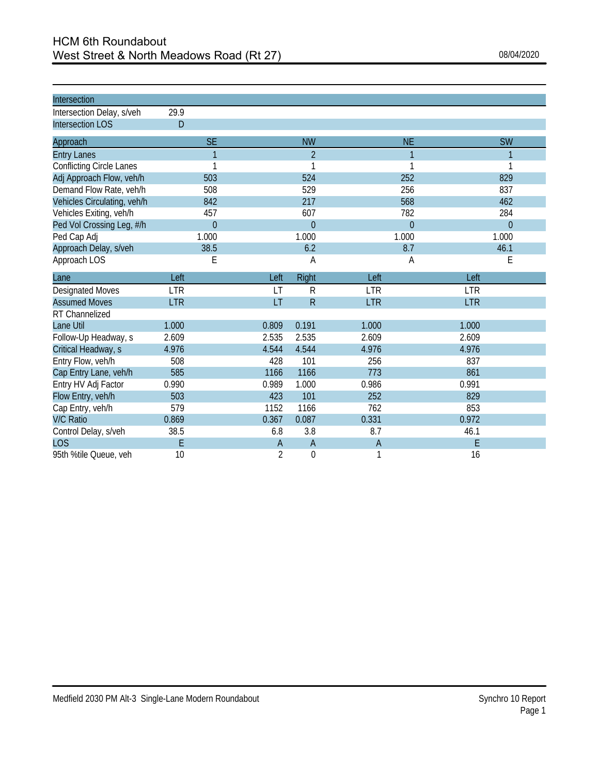| Intersection                    |            |                |                |                |            |                |            |           |
|---------------------------------|------------|----------------|----------------|----------------|------------|----------------|------------|-----------|
| Intersection Delay, s/veh       | 29.9       |                |                |                |            |                |            |           |
| <b>Intersection LOS</b>         | D          |                |                |                |            |                |            |           |
| Approach                        |            | <b>SE</b>      |                | <b>NW</b>      |            | <b>NE</b>      |            | <b>SW</b> |
| <b>Entry Lanes</b>              |            | $\mathbf{1}$   |                | $\mathfrak{D}$ |            | 1              |            | 1         |
| <b>Conflicting Circle Lanes</b> |            | 1              |                | 1              |            |                |            |           |
| Adj Approach Flow, veh/h        |            | 503            |                | 524            |            | 252            |            | 829       |
| Demand Flow Rate, veh/h         |            | 508            |                | 529            |            | 256            |            | 837       |
| Vehicles Circulating, veh/h     |            | 842            |                | 217            |            | 568            |            | 462       |
| Vehicles Exiting, veh/h         |            | 457            |                | 607            |            | 782            |            | 284       |
| Ped Vol Crossing Leg, #/h       |            | $\overline{0}$ |                | $\overline{0}$ |            | $\overline{0}$ |            | $\theta$  |
| Ped Cap Adj                     |            | 1.000          |                | 1.000          |            | 1.000          |            | 1.000     |
| Approach Delay, s/veh           |            | 38.5           |                | 6.2            |            | 8.7            |            | 46.1      |
| Approach LOS                    |            | Е              |                | А              |            | Α              |            | Ε         |
| Lane                            | Left       |                | Left           | Right          | Left       |                | Left       |           |
| <b>Designated Moves</b>         | <b>LTR</b> |                | LT             | ${\sf R}$      | <b>LTR</b> |                | <b>LTR</b> |           |
| <b>Assumed Moves</b>            | <b>LTR</b> |                | LT             | $\mathsf{R}$   | <b>LTR</b> |                | <b>LTR</b> |           |
| RT Channelized                  |            |                |                |                |            |                |            |           |
| Lane Util                       | 1.000      |                | 0.809          | 0.191          | 1.000      |                | 1.000      |           |
| Follow-Up Headway, s            | 2.609      |                | 2.535          | 2.535          | 2.609      |                | 2.609      |           |
| Critical Headway, s             | 4.976      |                | 4.544          | 4.544          | 4.976      |                | 4.976      |           |
| Entry Flow, veh/h               | 508        |                | 428            | 101            | 256        |                | 837        |           |
| Cap Entry Lane, veh/h           | 585        |                | 1166           | 1166           | 773        |                | 861        |           |
| Entry HV Adj Factor             | 0.990      |                | 0.989          | 1.000          | 0.986      |                | 0.991      |           |
| Flow Entry, veh/h               | 503        |                | 423            | 101            | 252        |                | 829        |           |
| Cap Entry, veh/h                | 579        |                | 1152           | 1166           | 762        |                | 853        |           |
| <b>V/C Ratio</b>                | 0.869      |                | 0.367          | 0.087          | 0.331      |                | 0.972      |           |
| Control Delay, s/veh            | 38.5       |                | 6.8            | 3.8            | 8.7        |                | 46.1       |           |
| <b>LOS</b>                      | E          |                | A              | A              | A          |                | E          |           |
| 95th %tile Queue, veh           | 10         |                | $\overline{2}$ | $\mathbf 0$    | 1          |                | 16         |           |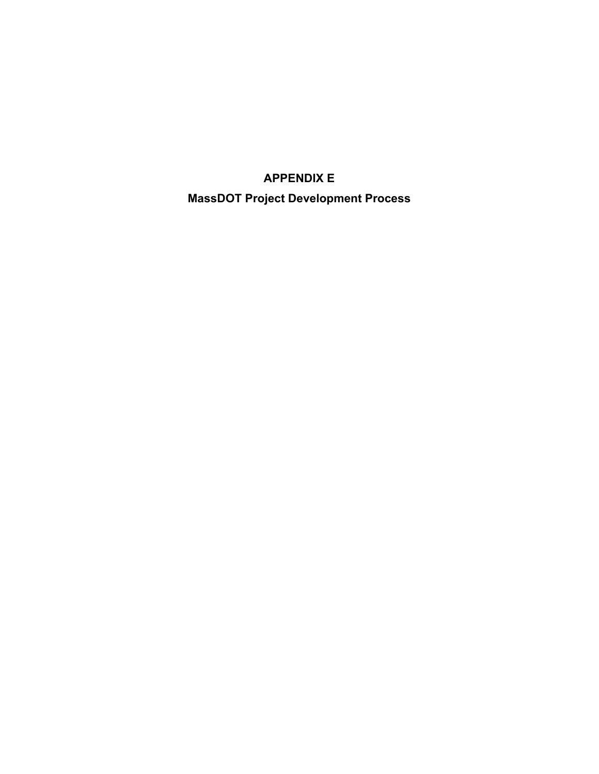### **APPENDIX**

### **MassDOT Project Development Process**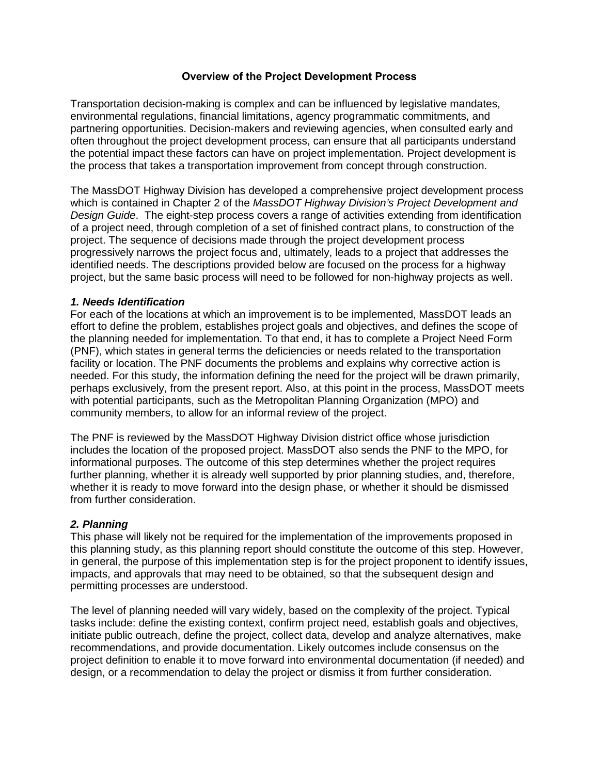### **Overview of the Project Development Process**

Transportation decision-making is complex and can be influenced by legislative mandates, environmental regulations, financial limitations, agency programmatic commitments, and partnering opportunities. Decision-makers and reviewing agencies, when consulted early and often throughout the project development process, can ensure that all participants understand the potential impact these factors can have on project implementation. Project development is the process that takes a transportation improvement from concept through construction.

The MassDOT Highway Division has developed a comprehensive project development process which is contained in Chapter 2 of the *MassDOT Highway Division's Project Development and Design Guide*. The eight-step process covers a range of activities extending from identification of a project need, through completion of a set of finished contract plans, to construction of the project. The sequence of decisions made through the project development process progressively narrows the project focus and, ultimately, leads to a project that addresses the identified needs. The descriptions provided below are focused on the process for a highway project, but the same basic process will need to be followed for non-highway projects as well.

### *1. Needs Identification*

For each of the locations at which an improvement is to be implemented, MassDOT leads an effort to define the problem, establishes project goals and objectives, and defines the scope of the planning needed for implementation. To that end, it has to complete a Project Need Form (PNF), which states in general terms the deficiencies or needs related to the transportation facility or location. The PNF documents the problems and explains why corrective action is needed. For this study, the information defining the need for the project will be drawn primarily, perhaps exclusively, from the present report. Also, at this point in the process, MassDOT meets with potential participants, such as the Metropolitan Planning Organization (MPO) and community members, to allow for an informal review of the project.

The PNF is reviewed by the MassDOT Highway Division district office whose jurisdiction includes the location of the proposed project. MassDOT also sends the PNF to the MPO, for informational purposes. The outcome of this step determines whether the project requires further planning, whether it is already well supported by prior planning studies, and, therefore, whether it is ready to move forward into the design phase, or whether it should be dismissed from further consideration.

### *2. Planning*

This phase will likely not be required for the implementation of the improvements proposed in this planning study, as this planning report should constitute the outcome of this step. However, in general, the purpose of this implementation step is for the project proponent to identify issues, impacts, and approvals that may need to be obtained, so that the subsequent design and permitting processes are understood.

The level of planning needed will vary widely, based on the complexity of the project. Typical tasks include: define the existing context, confirm project need, establish goals and objectives, initiate public outreach, define the project, collect data, develop and analyze alternatives, make recommendations, and provide documentation. Likely outcomes include consensus on the project definition to enable it to move forward into environmental documentation (if needed) and design, or a recommendation to delay the project or dismiss it from further consideration.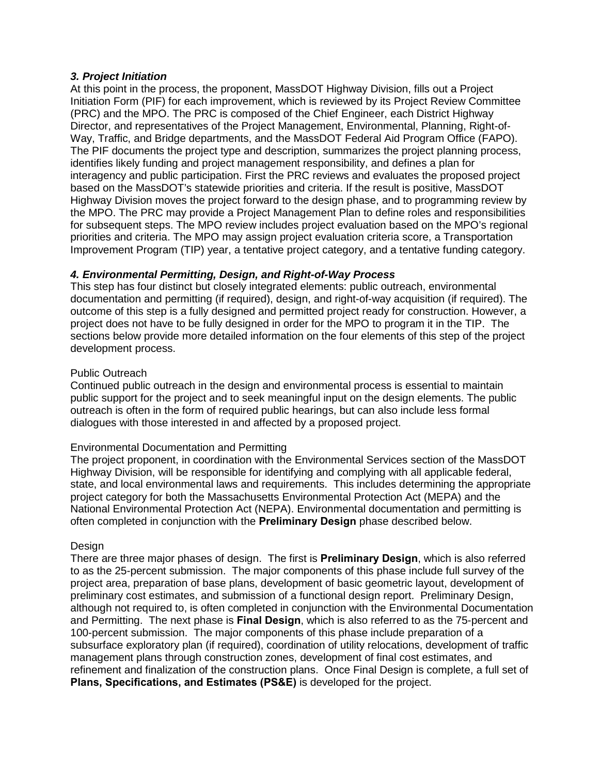### *3. Project Initiation*

At this point in the process, the proponent, MassDOT Highway Division, fills out a Project Initiation Form (PIF) for each improvement, which is reviewed by its Project Review Committee (PRC) and the MPO. The PRC is composed of the Chief Engineer, each District Highway Director, and representatives of the Project Management, Environmental, Planning, Right-of-Way, Traffic, and Bridge departments, and the MassDOT Federal Aid Program Office (FAPO). The PIF documents the project type and description, summarizes the project planning process, identifies likely funding and project management responsibility, and defines a plan for interagency and public participation. First the PRC reviews and evaluates the proposed project based on the MassDOT's statewide priorities and criteria. If the result is positive, MassDOT Highway Division moves the project forward to the design phase, and to programming review by the MPO. The PRC may provide a Project Management Plan to define roles and responsibilities for subsequent steps. The MPO review includes project evaluation based on the MPO's regional priorities and criteria. The MPO may assign project evaluation criteria score, a Transportation Improvement Program (TIP) year, a tentative project category, and a tentative funding category.

### *4. Environmental Permitting, Design, and Right-of-Way Process*

This step has four distinct but closely integrated elements: public outreach, environmental documentation and permitting (if required), design, and right-of-way acquisition (if required). The outcome of this step is a fully designed and permitted project ready for construction. However, a project does not have to be fully designed in order for the MPO to program it in the TIP. The sections below provide more detailed information on the four elements of this step of the project development process.

### Public Outreach

Continued public outreach in the design and environmental process is essential to maintain public support for the project and to seek meaningful input on the design elements. The public outreach is often in the form of required public hearings, but can also include less formal dialogues with those interested in and affected by a proposed project.

### Environmental Documentation and Permitting

The project proponent, in coordination with the Environmental Services section of the MassDOT Highway Division, will be responsible for identifying and complying with all applicable federal, state, and local environmental laws and requirements. This includes determining the appropriate project category for both the Massachusetts Environmental Protection Act (MEPA) and the National Environmental Protection Act (NEPA). Environmental documentation and permitting is often completed in conjunction with the **Preliminary Design** phase described below.

### Design

There are three major phases of design. The first is **Preliminary Design**, which is also referred to as the 25-percent submission. The major components of this phase include full survey of the project area, preparation of base plans, development of basic geometric layout, development of preliminary cost estimates, and submission of a functional design report. Preliminary Design, although not required to, is often completed in conjunction with the Environmental Documentation and Permitting. The next phase is **Final Design**, which is also referred to as the 75-percent and 100-percent submission. The major components of this phase include preparation of a subsurface exploratory plan (if required), coordination of utility relocations, development of traffic management plans through construction zones, development of final cost estimates, and refinement and finalization of the construction plans. Once Final Design is complete, a full set of **Plans, Specifications, and Estimates (PS&E)** is developed for the project.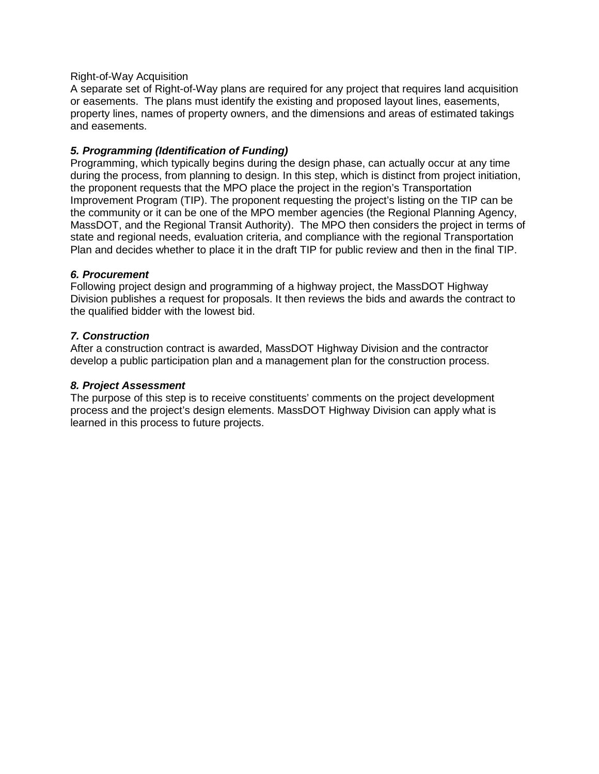### Right-of-Way Acquisition

A separate set of Right-of-Way plans are required for any project that requires land acquisition or easements. The plans must identify the existing and proposed layout lines, easements, property lines, names of property owners, and the dimensions and areas of estimated takings and easements.

### *5. Programming (Identification of Funding)*

Programming, which typically begins during the design phase, can actually occur at any time during the process, from planning to design. In this step, which is distinct from project initiation, the proponent requests that the MPO place the project in the region's Transportation Improvement Program (TIP). The proponent requesting the project's listing on the TIP can be the community or it can be one of the MPO member agencies (the Regional Planning Agency, MassDOT, and the Regional Transit Authority). The MPO then considers the project in terms of state and regional needs, evaluation criteria, and compliance with the regional Transportation Plan and decides whether to place it in the draft TIP for public review and then in the final TIP.

### *6. Procurement*

Following project design and programming of a highway project, the MassDOT Highway Division publishes a request for proposals. It then reviews the bids and awards the contract to the qualified bidder with the lowest bid.

### *7. Construction*

After a construction contract is awarded, MassDOT Highway Division and the contractor develop a public participation plan and a management plan for the construction process.

### *8. Project Assessment*

The purpose of this step is to receive constituents' comments on the project development process and the project's design elements. MassDOT Highway Division can apply what is learned in this process to future projects.